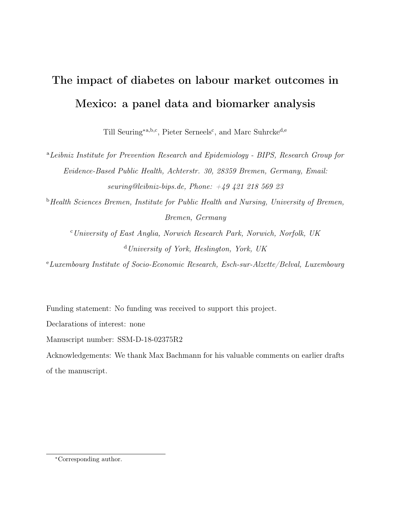# The impact of diabetes on labour market outcomes in Mexico: a panel data and biomarker analysis

Till Seuring<sup>\*a,b,c</sup>, Pieter Serneels<sup>c</sup>, and Marc Suhrcke<sup>d,e</sup>

<sup>a</sup>Leibniz Institute for Prevention Research and Epidemiology - BIPS, Research Group for Evidence-Based Public Health, Achterstr. 30, 28359 Bremen, Germany, Email: seuring@leibniz-bips.de, Phone:  $+49$  421 218 569 23

<sup>b</sup>Health Sciences Bremen, Institute for Public Health and Nursing, University of Bremen, Bremen, Germany

 $c$ University of East Anglia, Norwich Research Park, Norwich, Norfolk, UK <sup>d</sup>University of York, Heslington, York, UK

<sup>e</sup>Luxembourg Institute of Socio-Economic Research, Esch-sur-Alzette/Belval, Luxembourg

Funding statement: No funding was received to support this project.

Declarations of interest: none

Manuscript number: SSM-D-18-02375R2

Acknowledgements: We thank Max Bachmann for his valuable comments on earlier drafts of the manuscript.

<sup>∗</sup>Corresponding author.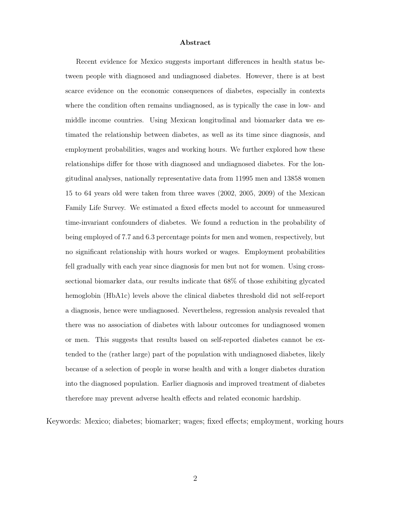#### Abstract

Recent evidence for Mexico suggests important differences in health status between people with diagnosed and undiagnosed diabetes. However, there is at best scarce evidence on the economic consequences of diabetes, especially in contexts where the condition often remains undiagnosed, as is typically the case in low- and middle income countries. Using Mexican longitudinal and biomarker data we estimated the relationship between diabetes, as well as its time since diagnosis, and employment probabilities, wages and working hours. We further explored how these relationships differ for those with diagnosed and undiagnosed diabetes. For the longitudinal analyses, nationally representative data from 11995 men and 13858 women 15 to 64 years old were taken from three waves (2002, 2005, 2009) of the Mexican Family Life Survey. We estimated a fixed effects model to account for unmeasured time-invariant confounders of diabetes. We found a reduction in the probability of being employed of 7.7 and 6.3 percentage points for men and women, respectively, but no significant relationship with hours worked or wages. Employment probabilities fell gradually with each year since diagnosis for men but not for women. Using crosssectional biomarker data, our results indicate that 68% of those exhibiting glycated hemoglobin (HbA1c) levels above the clinical diabetes threshold did not self-report a diagnosis, hence were undiagnosed. Nevertheless, regression analysis revealed that there was no association of diabetes with labour outcomes for undiagnosed women or men. This suggests that results based on self-reported diabetes cannot be extended to the (rather large) part of the population with undiagnosed diabetes, likely because of a selection of people in worse health and with a longer diabetes duration into the diagnosed population. Earlier diagnosis and improved treatment of diabetes therefore may prevent adverse health effects and related economic hardship.

Keywords: Mexico; diabetes; biomarker; wages; fixed effects; employment, working hours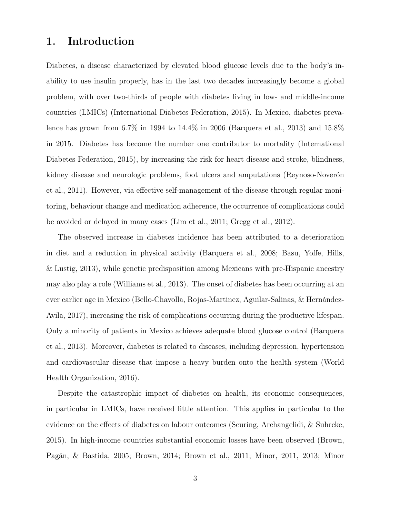## 1. Introduction

Diabetes, a disease characterized by elevated blood glucose levels due to the body's inability to use insulin properly, has in the last two decades increasingly become a global problem, with over two-thirds of people with diabetes living in low- and middle-income countries (LMICs) (International Diabetes Federation, [2015\)](#page-23-0). In Mexico, diabetes prevalence has grown from 6.7% in 1994 to 14.4% in 2006 (Barquera et al., [2013\)](#page-21-0) and 15.8% in 2015. Diabetes has become the number one contributor to mortality (International Diabetes Federation, [2015\)](#page-23-0), by increasing the risk for heart disease and stroke, blindness, kidney disease and neurologic problems, foot ulcers and amputations (Reynoso-Noverón et al., [2011\)](#page-24-0). However, via effective self-management of the disease through regular monitoring, behaviour change and medication adherence, the occurrence of complications could be avoided or delayed in many cases (Lim et al., [2011;](#page-23-1) Gregg et al., [2012\)](#page-22-0).

The observed increase in diabetes incidence has been attributed to a deterioration in diet and a reduction in physical activity (Barquera et al., [2008;](#page-21-1) Basu, Yoffe, Hills, & Lustig, [2013\)](#page-21-2), while genetic predisposition among Mexicans with pre-Hispanic ancestry may also play a role (Williams et al., [2013\)](#page-25-0). The onset of diabetes has been occurring at an ever earlier age in Mexico (Bello-Chavolla, Rojas-Martinez, Aguilar-Salinas, & Hernández-Avila, [2017\)](#page-21-3), increasing the risk of complications occurring during the productive lifespan. Only a minority of patients in Mexico achieves adequate blood glucose control (Barquera et al., [2013\)](#page-21-0). Moreover, diabetes is related to diseases, including depression, hypertension and cardiovascular disease that impose a heavy burden onto the health system (World Health Organization, [2016\)](#page-25-1).

Despite the catastrophic impact of diabetes on health, its economic consequences, in particular in LMICs, have received little attention. This applies in particular to the evidence on the effects of diabetes on labour outcomes (Seuring, Archangelidi, & Suhrcke, [2015\)](#page-24-1). In high-income countries substantial economic losses have been observed (Brown, Pagán, & Bastida, [2005;](#page-21-4) Brown, [2014;](#page-22-1) Brown et al., [2011;](#page-22-2) Minor, [2011,](#page-23-2) [2013;](#page-23-3) Minor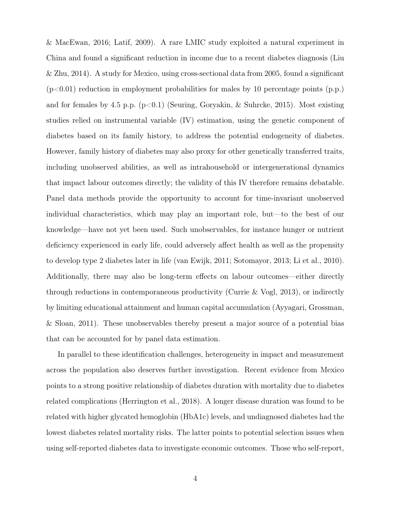& MacEwan, [2016;](#page-24-2) Latif, [2009\)](#page-23-4). A rare LMIC study exploited a natural experiment in China and found a significant reduction in income due to a recent diabetes diagnosis (Liu & Zhu, [2014\)](#page-23-5). A study for Mexico, using cross-sectional data from 2005, found a significant  $(p<0.01)$  reduction in employment probabilities for males by 10 percentage points  $(p.p.)$ and for females by 4.5 p.p.  $(p<0.1)$  (Seuring, Goryakin, & Suhrcke, [2015\)](#page-24-3). Most existing studies relied on instrumental variable (IV) estimation, using the genetic component of diabetes based on its family history, to address the potential endogeneity of diabetes. However, family history of diabetes may also proxy for other genetically transferred traits, including unobserved abilities, as well as intrahousehold or intergenerational dynamics that impact labour outcomes directly; the validity of this IV therefore remains debatable. Panel data methods provide the opportunity to account for time-invariant unobserved individual characteristics, which may play an important role, but—to the best of our knowledge—have not yet been used. Such unobservables, for instance hunger or nutrient deficiency experienced in early life, could adversely affect health as well as the propensity to develop type 2 diabetes later in life (van Ewijk, [2011;](#page-25-2) Sotomayor, [2013;](#page-25-3) Li et al., [2010\)](#page-23-6). Additionally, there may also be long-term effects on labour outcomes—either directly through reductions in contemporaneous productivity (Currie & Vogl, [2013\)](#page-22-3), or indirectly by limiting educational attainment and human capital accumulation (Ayyagari, Grossman, & Sloan, [2011\)](#page-21-5). These unobservables thereby present a major source of a potential bias that can be accounted for by panel data estimation.

In parallel to these identification challenges, heterogeneity in impact and measurement across the population also deserves further investigation. Recent evidence from Mexico points to a strong positive relationship of diabetes duration with mortality due to diabetes related complications (Herrington et al., [2018\)](#page-23-7). A longer disease duration was found to be related with higher glycated hemoglobin (HbA1c) levels, and undiagnosed diabetes had the lowest diabetes related mortality risks. The latter points to potential selection issues when using self-reported diabetes data to investigate economic outcomes. Those who self-report,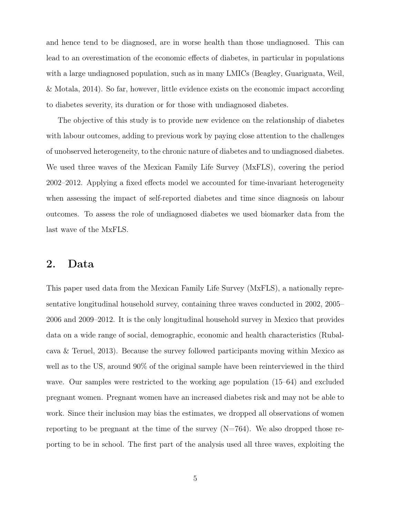and hence tend to be diagnosed, are in worse health than those undiagnosed. This can lead to an overestimation of the economic effects of diabetes, in particular in populations with a large undiagnosed population, such as in many LMICs (Beagley, Guariguata, Weil, & Motala, [2014\)](#page-21-6). So far, however, little evidence exists on the economic impact according to diabetes severity, its duration or for those with undiagnosed diabetes.

The objective of this study is to provide new evidence on the relationship of diabetes with labour outcomes, adding to previous work by paying close attention to the challenges of unobserved heterogeneity, to the chronic nature of diabetes and to undiagnosed diabetes. We used three waves of the Mexican Family Life Survey (MxFLS), covering the period 2002–2012. Applying a fixed effects model we accounted for time-invariant heterogeneity when assessing the impact of self-reported diabetes and time since diagnosis on labour outcomes. To assess the role of undiagnosed diabetes we used biomarker data from the last wave of the MxFLS.

## 2. Data

This paper used data from the Mexican Family Life Survey (MxFLS), a nationally representative longitudinal household survey, containing three waves conducted in 2002, 2005– 2006 and 2009–2012. It is the only longitudinal household survey in Mexico that provides data on a wide range of social, demographic, economic and health characteristics (Rubalcava & Teruel, [2013\)](#page-24-4). Because the survey followed participants moving within Mexico as well as to the US, around 90% of the original sample have been reinterviewed in the third wave. Our samples were restricted to the working age population (15–64) and excluded pregnant women. Pregnant women have an increased diabetes risk and may not be able to work. Since their inclusion may bias the estimates, we dropped all observations of women reporting to be pregnant at the time of the survey  $(N=764)$ . We also dropped those reporting to be in school. The first part of the analysis used all three waves, exploiting the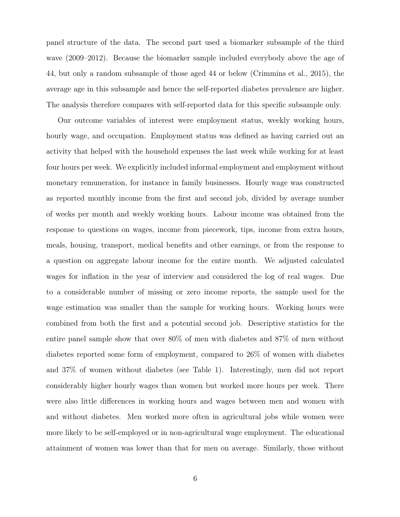panel structure of the data. The second part used a biomarker subsample of the third wave (2009–2012). Because the biomarker sample included everybody above the age of 44, but only a random subsample of those aged 44 or below (Crimmins et al., [2015\)](#page-22-4), the average age in this subsample and hence the self-reported diabetes prevalence are higher. The analysis therefore compares with self-reported data for this specific subsample only.

Our outcome variables of interest were employment status, weekly working hours, hourly wage, and occupation. Employment status was defined as having carried out an activity that helped with the household expenses the last week while working for at least four hours per week. We explicitly included informal employment and employment without monetary remuneration, for instance in family businesses. Hourly wage was constructed as reported monthly income from the first and second job, divided by average number of weeks per month and weekly working hours. Labour income was obtained from the response to questions on wages, income from piecework, tips, income from extra hours, meals, housing, transport, medical benefits and other earnings, or from the response to a question on aggregate labour income for the entire month. We adjusted calculated wages for inflation in the year of interview and considered the log of real wages. Due to a considerable number of missing or zero income reports, the sample used for the wage estimation was smaller than the sample for working hours. Working hours were combined from both the first and a potential second job. Descriptive statistics for the entire panel sample show that over 80% of men with diabetes and 87% of men without diabetes reported some form of employment, compared to 26% of women with diabetes and 37% of women without diabetes (see Table [1\)](#page-44-0). Interestingly, men did not report considerably higher hourly wages than women but worked more hours per week. There were also little differences in working hours and wages between men and women with and without diabetes. Men worked more often in agricultural jobs while women were more likely to be self-employed or in non-agricultural wage employment. The educational attainment of women was lower than that for men on average. Similarly, those without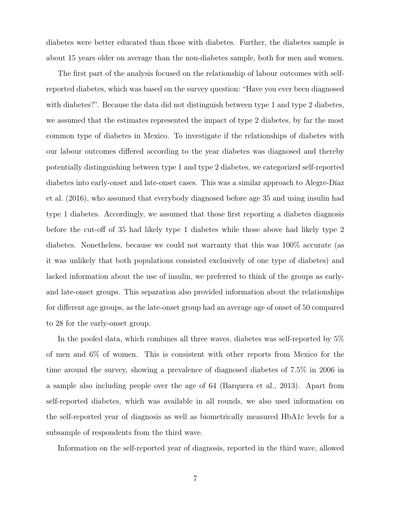diabetes were better educated than those with diabetes. Further, the diabetes sample is about 15 years older on average than the non-diabetes sample, both for men and women.

The first part of the analysis focused on the relationship of labour outcomes with selfreported diabetes, which was based on the survey question: "Have you ever been diagnosed with diabetes?". Because the data did not distinguish between type 1 and type 2 diabetes, we assumed that the estimates represented the impact of type 2 diabetes, by far the most common type of diabetes in Mexico. To investigate if the relationships of diabetes with our labour outcomes differed according to the year diabetes was diagnosed and thereby potentially distinguishing between type 1 and type 2 diabetes, we categorized self-reported diabetes into early-onset and late-onset cases. This was a similar approach to Alegre-Díaz et al. [\(2016\)](#page-20-0), who assumed that everybody diagnosed before age 35 and using insulin had type 1 diabetes. Accordingly, we assumed that those first reporting a diabetes diagnosis before the cut-off of 35 had likely type 1 diabetes while those above had likely type 2 diabetes. Nonetheless, because we could not warranty that this was 100% accurate (as it was unlikely that both populations consisted exclusively of one type of diabetes) and lacked information about the use of insulin, we preferred to think of the groups as earlyand late-onset groups. This separation also provided information about the relationships for different age groups, as the late-onset group had an average age of onset of 50 compared to 28 for the early-onset group.

In the pooled data, which combines all three waves, diabetes was self-reported by 5% of men and 6% of women. This is consistent with other reports from Mexico for the time around the survey, showing a prevalence of diagnosed diabetes of 7.5% in 2006 in a sample also including people over the age of 64 (Barquera et al., [2013\)](#page-21-0). Apart from self-reported diabetes, which was available in all rounds, we also used information on the self-reported year of diagnosis as well as biometrically measured HbA1c levels for a subsample of respondents from the third wave.

Information on the self-reported year of diagnosis, reported in the third wave, allowed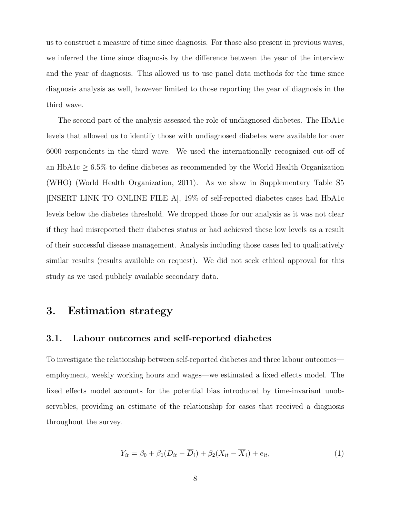us to construct a measure of time since diagnosis. For those also present in previous waves, we inferred the time since diagnosis by the difference between the year of the interview and the year of diagnosis. This allowed us to use panel data methods for the time since diagnosis analysis as well, however limited to those reporting the year of diagnosis in the third wave.

The second part of the analysis assessed the role of undiagnosed diabetes. The HbA1c levels that allowed us to identify those with undiagnosed diabetes were available for over 6000 respondents in the third wave. We used the internationally recognized cut-off of an HbA1c  $\geq 6.5\%$  to define diabetes as recommended by the World Health Organization (WHO) (World Health Organization, [2011\)](#page-25-4). As we show in Supplementary Table [S5](#page-32-0) [INSERT LINK TO ONLINE FILE A], 19% of self-reported diabetes cases had HbA1c levels below the diabetes threshold. We dropped those for our analysis as it was not clear if they had misreported their diabetes status or had achieved these low levels as a result of their successful disease management. Analysis including those cases led to qualitatively similar results (results available on request). We did not seek ethical approval for this study as we used publicly available secondary data.

## 3. Estimation strategy

#### 3.1. Labour outcomes and self-reported diabetes

To investigate the relationship between self-reported diabetes and three labour outcomes employment, weekly working hours and wages—we estimated a fixed effects model. The fixed effects model accounts for the potential bias introduced by time-invariant unobservables, providing an estimate of the relationship for cases that received a diagnosis throughout the survey.

<span id="page-7-0"></span>
$$
Y_{it} = \beta_0 + \beta_1 (D_{it} - \overline{D}_i) + \beta_2 (X_{it} - \overline{X}_i) + e_{it}, \qquad (1)
$$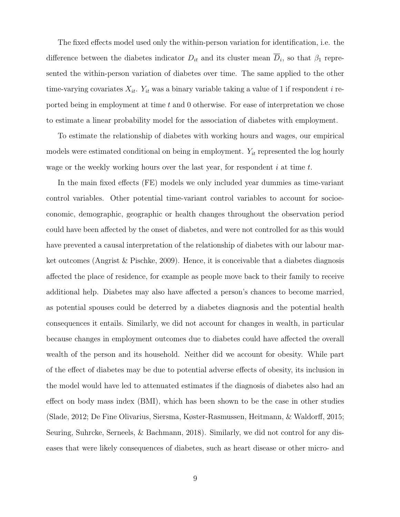The fixed effects model used only the within-person variation for identification, i.e. the difference between the diabetes indicator  $D_{it}$  and its cluster mean  $\overline{D}_i$ , so that  $\beta_1$  represented the within-person variation of diabetes over time. The same applied to the other time-varying covariates  $X_{it}$ .  $Y_{it}$  was a binary variable taking a value of 1 if respondent i reported being in employment at time  $t$  and 0 otherwise. For ease of interpretation we chose to estimate a linear probability model for the association of diabetes with employment.

To estimate the relationship of diabetes with working hours and wages, our empirical models were estimated conditional on being in employment.  $Y_{it}$  represented the log hourly wage or the weekly working hours over the last year, for respondent  $i$  at time  $t$ .

In the main fixed effects (FE) models we only included year dummies as time-variant control variables. Other potential time-variant control variables to account for socioeconomic, demographic, geographic or health changes throughout the observation period could have been affected by the onset of diabetes, and were not controlled for as this would have prevented a causal interpretation of the relationship of diabetes with our labour market outcomes (Angrist & Pischke, [2009\)](#page-20-1). Hence, it is conceivable that a diabetes diagnosis affected the place of residence, for example as people move back to their family to receive additional help. Diabetes may also have affected a person's chances to become married, as potential spouses could be deterred by a diabetes diagnosis and the potential health consequences it entails. Similarly, we did not account for changes in wealth, in particular because changes in employment outcomes due to diabetes could have affected the overall wealth of the person and its household. Neither did we account for obesity. While part of the effect of diabetes may be due to potential adverse effects of obesity, its inclusion in the model would have led to attenuated estimates if the diagnosis of diabetes also had an effect on body mass index (BMI), which has been shown to be the case in other studies (Slade, [2012;](#page-25-5) De Fine Olivarius, Siersma, Køster-Rasmussen, Heitmann, & Waldorff, [2015;](#page-22-5) Seuring, Suhrcke, Serneels, & Bachmann, [2018\)](#page-24-5). Similarly, we did not control for any diseases that were likely consequences of diabetes, such as heart disease or other micro- and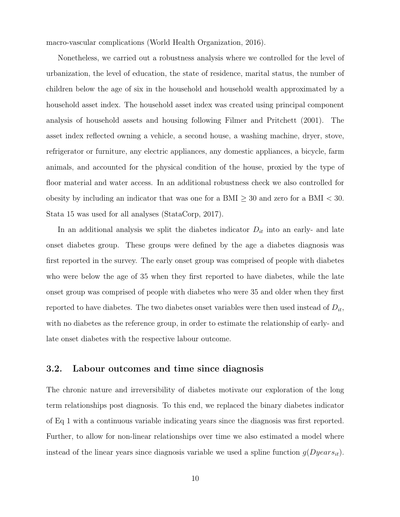macro-vascular complications (World Health Organization, [2016\)](#page-25-1).

Nonetheless, we carried out a robustness analysis where we controlled for the level of urbanization, the level of education, the state of residence, marital status, the number of children below the age of six in the household and household wealth approximated by a household asset index. The household asset index was created using principal component analysis of household assets and housing following Filmer and Pritchett [\(2001\)](#page-22-6). The asset index reflected owning a vehicle, a second house, a washing machine, dryer, stove, refrigerator or furniture, any electric appliances, any domestic appliances, a bicycle, farm animals, and accounted for the physical condition of the house, proxied by the type of floor material and water access. In an additional robustness check we also controlled for obesity by including an indicator that was one for a BMI  $\geq$  30 and zero for a BMI  $\lt$  30. Stata 15 was used for all analyses (StataCorp, [2017\)](#page-25-6).

In an additional analysis we split the diabetes indicator  $D_{it}$  into an early- and late onset diabetes group. These groups were defined by the age a diabetes diagnosis was first reported in the survey. The early onset group was comprised of people with diabetes who were below the age of 35 when they first reported to have diabetes, while the late onset group was comprised of people with diabetes who were 35 and older when they first reported to have diabetes. The two diabetes onset variables were then used instead of  $D_{it}$ , with no diabetes as the reference group, in order to estimate the relationship of early- and late onset diabetes with the respective labour outcome.

#### 3.2. Labour outcomes and time since diagnosis

The chronic nature and irreversibility of diabetes motivate our exploration of the long term relationships post diagnosis. To this end, we replaced the binary diabetes indicator of Eq [1](#page-7-0) with a continuous variable indicating years since the diagnosis was first reported. Further, to allow for non-linear relationships over time we also estimated a model where instead of the linear years since diagnosis variable we used a spline function  $g(Dyears_{it})$ .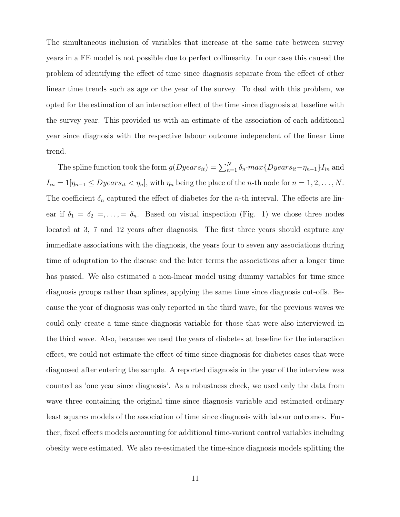The simultaneous inclusion of variables that increase at the same rate between survey years in a FE model is not possible due to perfect collinearity. In our case this caused the problem of identifying the effect of time since diagnosis separate from the effect of other linear time trends such as age or the year of the survey. To deal with this problem, we opted for the estimation of an interaction effect of the time since diagnosis at baseline with the survey year. This provided us with an estimate of the association of each additional year since diagnosis with the respective labour outcome independent of the linear time trend.

The spline function took the form  $g(Dyears_{it}) = \sum_{n=1}^{N} \delta_n \cdot max\{Dyears_{it} - \eta_{n-1}\}I_{in}$  and  $I_{in} = 1[\eta_{n-1} \leq Dyears_{it} < \eta_n],$  with  $\eta_n$  being the place of the *n*-th node for  $n = 1, 2, ..., N$ . The coefficient  $\delta_n$  captured the effect of diabetes for the *n*-th interval. The effects are linear if  $\delta_1 = \delta_2 = \ldots = \delta_n$ . Based on visual inspection (Fig. [1\)](#page-50-0) we chose three nodes located at 3, 7 and 12 years after diagnosis. The first three years should capture any immediate associations with the diagnosis, the years four to seven any associations during time of adaptation to the disease and the later terms the associations after a longer time has passed. We also estimated a non-linear model using dummy variables for time since diagnosis groups rather than splines, applying the same time since diagnosis cut-offs. Because the year of diagnosis was only reported in the third wave, for the previous waves we could only create a time since diagnosis variable for those that were also interviewed in the third wave. Also, because we used the years of diabetes at baseline for the interaction effect, we could not estimate the effect of time since diagnosis for diabetes cases that were diagnosed after entering the sample. A reported diagnosis in the year of the interview was counted as 'one year since diagnosis'. As a robustness check, we used only the data from wave three containing the original time since diagnosis variable and estimated ordinary least squares models of the association of time since diagnosis with labour outcomes. Further, fixed effects models accounting for additional time-variant control variables including obesity were estimated. We also re-estimated the time-since diagnosis models splitting the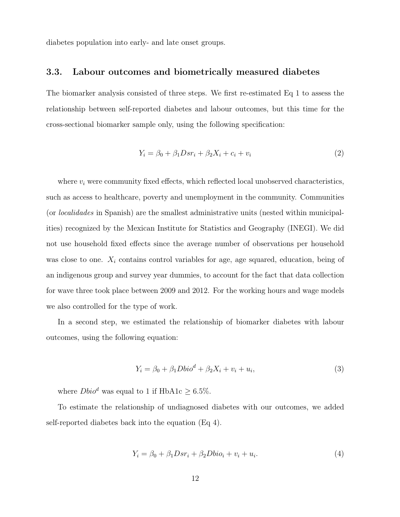diabetes population into early- and late onset groups.

#### 3.3. Labour outcomes and biometrically measured diabetes

The biomarker analysis consisted of three steps. We first re-estimated Eq [1](#page-7-0) to assess the relationship between self-reported diabetes and labour outcomes, but this time for the cross-sectional biomarker sample only, using the following specification:

<span id="page-11-1"></span>
$$
Y_i = \beta_0 + \beta_1 D s r_i + \beta_2 X_i + c_i + v_i \tag{2}
$$

where  $v_i$  were community fixed effects, which reflected local unobserved characteristics, such as access to healthcare, poverty and unemployment in the community. Communities (or localidades in Spanish) are the smallest administrative units (nested within municipalities) recognized by the Mexican Institute for Statistics and Geography (INEGI). We did not use household fixed effects since the average number of observations per household was close to one.  $X_i$  contains control variables for age, age squared, education, being of an indigenous group and survey year dummies, to account for the fact that data collection for wave three took place between 2009 and 2012. For the working hours and wage models we also controlled for the type of work.

In a second step, we estimated the relationship of biomarker diabetes with labour outcomes, using the following equation:

$$
Y_i = \beta_0 + \beta_1 D \text{bio}^d + \beta_2 X_i + v_i + u_i,\tag{3}
$$

where  $Dbio^d$  was equal to 1 if HbA1c  $\geq$  6.5%.

To estimate the relationship of undiagnosed diabetes with our outcomes, we added self-reported diabetes back into the equation (Eq [4\)](#page-11-0).

<span id="page-11-0"></span>
$$
Y_i = \beta_0 + \beta_1 D s r_i + \beta_2 D b i o_i + v_i + u_i.
$$
\n
$$
\tag{4}
$$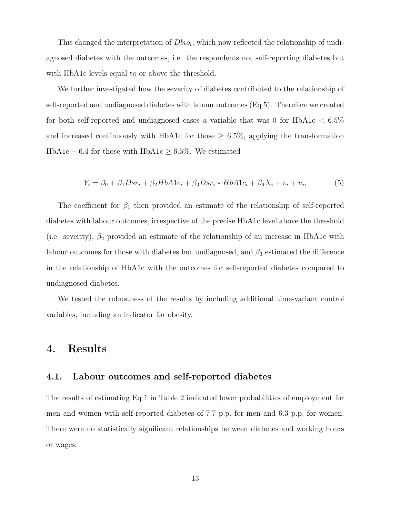This changed the interpretation of  $Dbio_i$ , which now reflected the relationship of undiagnosed diabetes with the outcomes, i.e. the respondents not self-reporting diabetes but with HbA1c levels equal to or above the threshold.

We further investigated how the severity of diabetes contributed to the relationship of self-reported and undiagnosed diabetes with labour outcomes (Eq [5\)](#page-12-0). Therefore we created for both self-reported and undiagnosed cases a variable that was 0 for  $H<sub>b</sub>$  HbA1c  $<$  6.5% and increased continuously with HbA1c for those  $\geq 6.5\%$ , applying the transformation  $HbA1c - 6.4$  for those with  $HbA1c \geq 6.5\%$ . We estimated

<span id="page-12-0"></span>
$$
Y_i = \beta_0 + \beta_1 D s r_i + \beta_2 H b A 1 c_i + \beta_3 D s r_i * H b A 1 c_i + \beta_4 X_i + v_i + u_i.
$$
 (5)

The coefficient for  $\beta_1$  then provided an estimate of the relationship of self-reported diabetes with labour outcomes, irrespective of the precise HbA1c level above the threshold (i.e. severity),  $\beta_2$  provided an estimate of the relationship of an increase in HbA1c with labour outcomes for those with diabetes but undiagnosed, and  $\beta_3$  estimated the difference in the relationship of HbA1c with the outcomes for self-reported diabetes compared to undiagnosed diabetes.

We tested the robustness of the results by including additional time-variant control variables, including an indicator for obesity.

## 4. Results

#### 4.1. Labour outcomes and self-reported diabetes

The results of estimating Eq [1](#page-7-0) in Table [2](#page-45-0) indicated lower probabilities of employment for men and women with self-reported diabetes of 7.7 p.p. for men and 6.3 p.p. for women. There were no statistically significant relationships between diabetes and working hours or wages.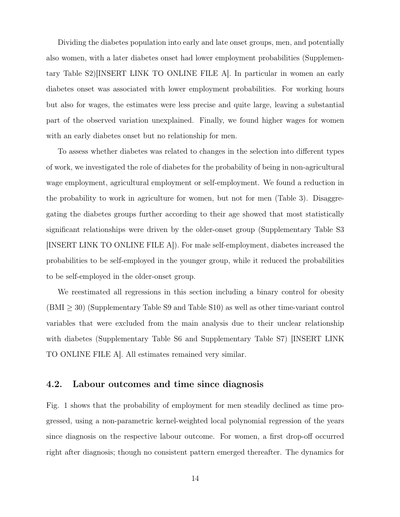Dividing the diabetes population into early and late onset groups, men, and potentially also women, with a later diabetes onset had lower employment probabilities (Supplementary Table [S2\)](#page-29-0)[INSERT LINK TO ONLINE FILE A]. In particular in women an early diabetes onset was associated with lower employment probabilities. For working hours but also for wages, the estimates were less precise and quite large, leaving a substantial part of the observed variation unexplained. Finally, we found higher wages for women with an early diabetes onset but no relationship for men.

To assess whether diabetes was related to changes in the selection into different types of work, we investigated the role of diabetes for the probability of being in non-agricultural wage employment, agricultural employment or self-employment. We found a reduction in the probability to work in agriculture for women, but not for men (Table [3\)](#page-46-0). Disaggregating the diabetes groups further according to their age showed that most statistically significant relationships were driven by the older-onset group (Supplementary Table [S3](#page-30-0) [INSERT LINK TO ONLINE FILE A]). For male self-employment, diabetes increased the probabilities to be self-employed in the younger group, while it reduced the probabilities to be self-employed in the older-onset group.

We reestimated all regressions in this section including a binary control for obesity  $(BMI \geq 30)$  (Supplementary Table [S9](#page-37-0) and Table [S10\)](#page-37-1) as well as other time-variant control variables that were excluded from the main analysis due to their unclear relationship with diabetes (Supplementary Table [S6](#page-34-0) and Supplementary Table [S7\)](#page-35-0) [INSERT LINK TO ONLINE FILE A]. All estimates remained very similar.

#### 4.2. Labour outcomes and time since diagnosis

Fig. [1](#page-50-0) shows that the probability of employment for men steadily declined as time progressed, using a non-parametric kernel-weighted local polynomial regression of the years since diagnosis on the respective labour outcome. For women, a first drop-off occurred right after diagnosis; though no consistent pattern emerged thereafter. The dynamics for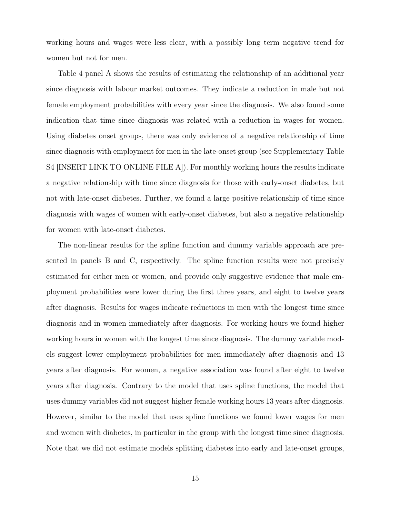working hours and wages were less clear, with a possibly long term negative trend for women but not for men.

Table [4](#page-47-0) panel A shows the results of estimating the relationship of an additional year since diagnosis with labour market outcomes. They indicate a reduction in male but not female employment probabilities with every year since the diagnosis. We also found some indication that time since diagnosis was related with a reduction in wages for women. Using diabetes onset groups, there was only evidence of a negative relationship of time since diagnosis with employment for men in the late-onset group (see Supplementary Table [S4](#page-31-0) [INSERT LINK TO ONLINE FILE A]). For monthly working hours the results indicate a negative relationship with time since diagnosis for those with early-onset diabetes, but not with late-onset diabetes. Further, we found a large positive relationship of time since diagnosis with wages of women with early-onset diabetes, but also a negative relationship for women with late-onset diabetes.

The non-linear results for the spline function and dummy variable approach are presented in panels B and C, respectively. The spline function results were not precisely estimated for either men or women, and provide only suggestive evidence that male employment probabilities were lower during the first three years, and eight to twelve years after diagnosis. Results for wages indicate reductions in men with the longest time since diagnosis and in women immediately after diagnosis. For working hours we found higher working hours in women with the longest time since diagnosis. The dummy variable models suggest lower employment probabilities for men immediately after diagnosis and 13 years after diagnosis. For women, a negative association was found after eight to twelve years after diagnosis. Contrary to the model that uses spline functions, the model that uses dummy variables did not suggest higher female working hours 13 years after diagnosis. However, similar to the model that uses spline functions we found lower wages for men and women with diabetes, in particular in the group with the longest time since diagnosis. Note that we did not estimate models splitting diabetes into early and late-onset groups,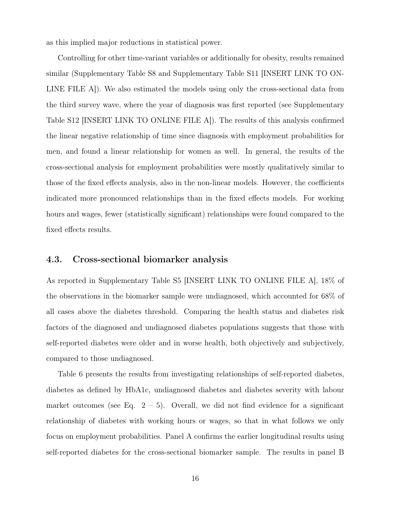as this implied major reductions in statistical power.

Controlling for other time-variant variables or additionally for obesity, results remained similar (Supplementary Table [S8](#page-36-0) and Supplementary Table [S11](#page-38-0) [INSERT LINK TO ON-LINE FILE A]). We also estimated the models using only the cross-sectional data from the third survey wave, where the year of diagnosis was first reported (see Supplementary Table [S12](#page-40-0) [INSERT LINK TO ONLINE FILE A]). The results of this analysis confirmed the linear negative relationship of time since diagnosis with employment probabilities for men, and found a linear relationship for women as well. In general, the results of the cross-sectional analysis for employment probabilities were mostly qualitatively similar to those of the fixed effects analysis, also in the non-linear models. However, the coefficients indicated more pronounced relationships than in the fixed effects models. For working hours and wages, fewer (statistically significant) relationships were found compared to the fixed effects results.

#### 4.3. Cross-sectional biomarker analysis

As reported in Supplementary Table [S5](#page-32-0) [INSERT LINK TO ONLINE FILE A], 18% of the observations in the biomarker sample were undiagnosed, which accounted for 68% of all cases above the diabetes threshold. Comparing the health status and diabetes risk factors of the diagnosed and undiagnosed diabetes populations suggests that those with self-reported diabetes were older and in worse health, both objectively and subjectively, compared to those undiagnosed.

Table [6](#page-49-0) presents the results from investigating relationships of self-reported diabetes, diabetes as defined by HbA1c, undiagnosed diabetes and diabetes severity with labour market outcomes (see Eq.  $2 - 5$ ). Overall, we did not find evidence for a significant relationship of diabetes with working hours or wages, so that in what follows we only focus on employment probabilities. Panel A confirms the earlier longitudinal results using self-reported diabetes for the cross-sectional biomarker sample. The results in panel B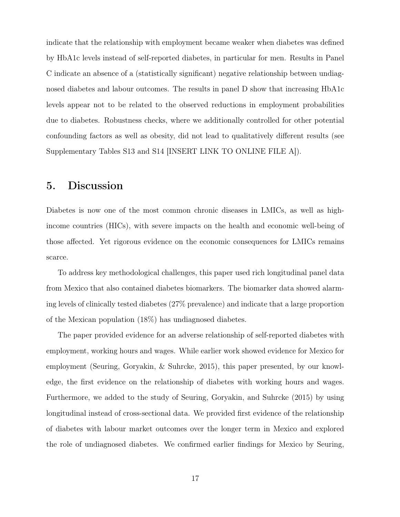indicate that the relationship with employment became weaker when diabetes was defined by HbA1c levels instead of self-reported diabetes, in particular for men. Results in Panel C indicate an absence of a (statistically significant) negative relationship between undiagnosed diabetes and labour outcomes. The results in panel D show that increasing HbA1c levels appear not to be related to the observed reductions in employment probabilities due to diabetes. Robustness checks, where we additionally controlled for other potential confounding factors as well as obesity, did not lead to qualitatively different results (see Supplementary Tables [S13](#page-42-0) and [S14](#page-43-0) [INSERT LINK TO ONLINE FILE A]).

## 5. Discussion

Diabetes is now one of the most common chronic diseases in LMICs, as well as highincome countries (HICs), with severe impacts on the health and economic well-being of those affected. Yet rigorous evidence on the economic consequences for LMICs remains scarce.

To address key methodological challenges, this paper used rich longitudinal panel data from Mexico that also contained diabetes biomarkers. The biomarker data showed alarming levels of clinically tested diabetes (27% prevalence) and indicate that a large proportion of the Mexican population (18%) has undiagnosed diabetes.

The paper provided evidence for an adverse relationship of self-reported diabetes with employment, working hours and wages. While earlier work showed evidence for Mexico for employment (Seuring, Goryakin, & Suhrcke, [2015\)](#page-24-3), this paper presented, by our knowledge, the first evidence on the relationship of diabetes with working hours and wages. Furthermore, we added to the study of Seuring, Goryakin, and Suhrcke [\(2015\)](#page-24-3) by using longitudinal instead of cross-sectional data. We provided first evidence of the relationship of diabetes with labour market outcomes over the longer term in Mexico and explored the role of undiagnosed diabetes. We confirmed earlier findings for Mexico by Seuring,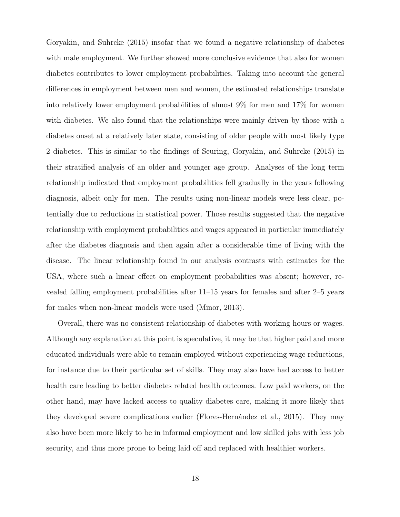Goryakin, and Suhrcke [\(2015\)](#page-24-3) insofar that we found a negative relationship of diabetes with male employment. We further showed more conclusive evidence that also for women diabetes contributes to lower employment probabilities. Taking into account the general differences in employment between men and women, the estimated relationships translate into relatively lower employment probabilities of almost 9% for men and 17% for women with diabetes. We also found that the relationships were mainly driven by those with a diabetes onset at a relatively later state, consisting of older people with most likely type 2 diabetes. This is similar to the findings of Seuring, Goryakin, and Suhrcke [\(2015\)](#page-24-3) in their stratified analysis of an older and younger age group. Analyses of the long term relationship indicated that employment probabilities fell gradually in the years following diagnosis, albeit only for men. The results using non-linear models were less clear, potentially due to reductions in statistical power. Those results suggested that the negative relationship with employment probabilities and wages appeared in particular immediately after the diabetes diagnosis and then again after a considerable time of living with the disease. The linear relationship found in our analysis contrasts with estimates for the USA, where such a linear effect on employment probabilities was absent; however, revealed falling employment probabilities after 11–15 years for females and after 2–5 years for males when non-linear models were used (Minor, [2013\)](#page-23-3).

Overall, there was no consistent relationship of diabetes with working hours or wages. Although any explanation at this point is speculative, it may be that higher paid and more educated individuals were able to remain employed without experiencing wage reductions, for instance due to their particular set of skills. They may also have had access to better health care leading to better diabetes related health outcomes. Low paid workers, on the other hand, may have lacked access to quality diabetes care, making it more likely that they developed severe complications earlier (Flores-Hernández et al., [2015\)](#page-22-7). They may also have been more likely to be in informal employment and low skilled jobs with less job security, and thus more prone to being laid off and replaced with healthier workers.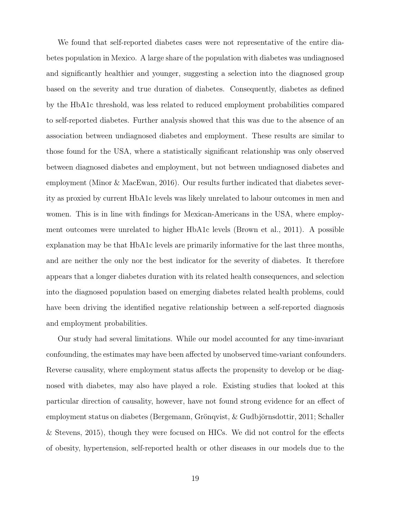We found that self-reported diabetes cases were not representative of the entire diabetes population in Mexico. A large share of the population with diabetes was undiagnosed and significantly healthier and younger, suggesting a selection into the diagnosed group based on the severity and true duration of diabetes. Consequently, diabetes as defined by the HbA1c threshold, was less related to reduced employment probabilities compared to self-reported diabetes. Further analysis showed that this was due to the absence of an association between undiagnosed diabetes and employment. These results are similar to those found for the USA, where a statistically significant relationship was only observed between diagnosed diabetes and employment, but not between undiagnosed diabetes and employment (Minor & MacEwan, [2016\)](#page-24-2). Our results further indicated that diabetes severity as proxied by current HbA1c levels was likely unrelated to labour outcomes in men and women. This is in line with findings for Mexican-Americans in the USA, where employment outcomes were unrelated to higher HbA1c levels (Brown et al., [2011\)](#page-22-2). A possible explanation may be that HbA1c levels are primarily informative for the last three months, and are neither the only nor the best indicator for the severity of diabetes. It therefore appears that a longer diabetes duration with its related health consequences, and selection into the diagnosed population based on emerging diabetes related health problems, could have been driving the identified negative relationship between a self-reported diagnosis and employment probabilities.

Our study had several limitations. While our model accounted for any time-invariant confounding, the estimates may have been affected by unobserved time-variant confounders. Reverse causality, where employment status affects the propensity to develop or be diagnosed with diabetes, may also have played a role. Existing studies that looked at this particular direction of causality, however, have not found strong evidence for an effect of employment status on diabetes (Bergemann, Grönqvist, & Gudbjörnsdottir, [2011;](#page-21-7) Schaller & Stevens, [2015\)](#page-24-6), though they were focused on HICs. We did not control for the effects of obesity, hypertension, self-reported health or other diseases in our models due to the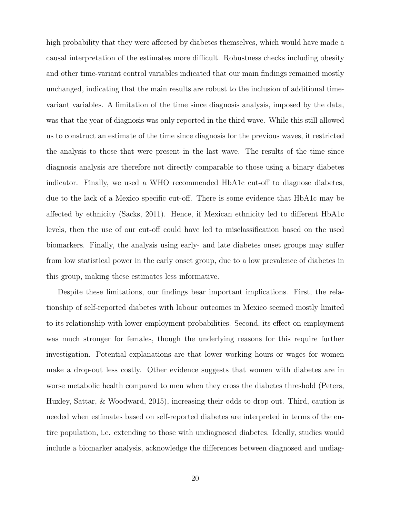high probability that they were affected by diabetes themselves, which would have made a causal interpretation of the estimates more difficult. Robustness checks including obesity and other time-variant control variables indicated that our main findings remained mostly unchanged, indicating that the main results are robust to the inclusion of additional timevariant variables. A limitation of the time since diagnosis analysis, imposed by the data, was that the year of diagnosis was only reported in the third wave. While this still allowed us to construct an estimate of the time since diagnosis for the previous waves, it restricted the analysis to those that were present in the last wave. The results of the time since diagnosis analysis are therefore not directly comparable to those using a binary diabetes indicator. Finally, we used a WHO recommended HbA1c cut-off to diagnose diabetes, due to the lack of a Mexico specific cut-off. There is some evidence that HbA1c may be affected by ethnicity (Sacks, [2011\)](#page-24-7). Hence, if Mexican ethnicity led to different HbA1c levels, then the use of our cut-off could have led to misclassification based on the used biomarkers. Finally, the analysis using early- and late diabetes onset groups may suffer from low statistical power in the early onset group, due to a low prevalence of diabetes in this group, making these estimates less informative.

Despite these limitations, our findings bear important implications. First, the relationship of self-reported diabetes with labour outcomes in Mexico seemed mostly limited to its relationship with lower employment probabilities. Second, its effect on employment was much stronger for females, though the underlying reasons for this require further investigation. Potential explanations are that lower working hours or wages for women make a drop-out less costly. Other evidence suggests that women with diabetes are in worse metabolic health compared to men when they cross the diabetes threshold (Peters, Huxley, Sattar, & Woodward, [2015\)](#page-24-8), increasing their odds to drop out. Third, caution is needed when estimates based on self-reported diabetes are interpreted in terms of the entire population, i.e. extending to those with undiagnosed diabetes. Ideally, studies would include a biomarker analysis, acknowledge the differences between diagnosed and undiag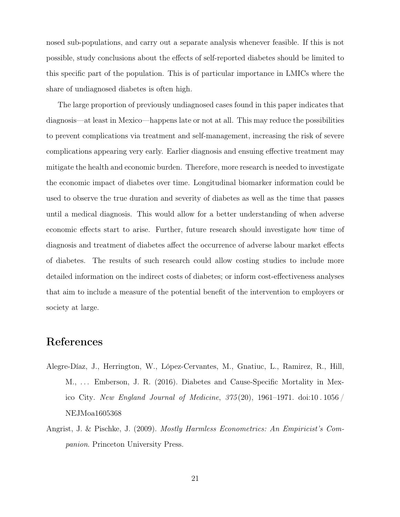nosed sub-populations, and carry out a separate analysis whenever feasible. If this is not possible, study conclusions about the effects of self-reported diabetes should be limited to this specific part of the population. This is of particular importance in LMICs where the share of undiagnosed diabetes is often high.

The large proportion of previously undiagnosed cases found in this paper indicates that diagnosis—at least in Mexico—happens late or not at all. This may reduce the possibilities to prevent complications via treatment and self-management, increasing the risk of severe complications appearing very early. Earlier diagnosis and ensuing effective treatment may mitigate the health and economic burden. Therefore, more research is needed to investigate the economic impact of diabetes over time. Longitudinal biomarker information could be used to observe the true duration and severity of diabetes as well as the time that passes until a medical diagnosis. This would allow for a better understanding of when adverse economic effects start to arise. Further, future research should investigate how time of diagnosis and treatment of diabetes affect the occurrence of adverse labour market effects of diabetes. The results of such research could allow costing studies to include more detailed information on the indirect costs of diabetes; or inform cost-effectiveness analyses that aim to include a measure of the potential benefit of the intervention to employers or society at large.

## References

- <span id="page-20-0"></span>Alegre-Díaz, J., Herrington, W., López-Cervantes, M., Gnatiuc, L., Ramirez, R., Hill, M., . . . Emberson, J. R. (2016). Diabetes and Cause-Specific Mortality in Mexico City. New England Journal of Medicine,  $375(20)$ , 1961–1971. doi:10.1056 [NEJMoa1605368](https://dx.doi.org/10.1056/NEJMoa1605368)
- <span id="page-20-1"></span>Angrist, J. & Pischke, J. (2009). Mostly Harmless Econometrics: An Empiricist's Companion. Princeton University Press.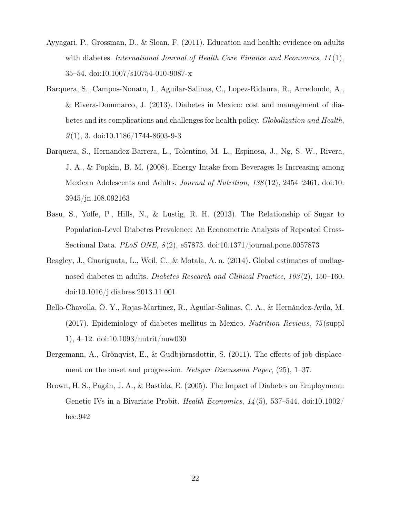- <span id="page-21-5"></span>Ayyagari, P., Grossman, D., & Sloan, F. (2011). Education and health: evidence on adults with diabetes. International Journal of Health Care Finance and Economics,  $11(1)$ , 35–54. doi[:10.1007/s10754-010-9087-x](https://dx.doi.org/10.1007/s10754-010-9087-x)
- <span id="page-21-0"></span>Barquera, S., Campos-Nonato, I., Aguilar-Salinas, C., Lopez-Ridaura, R., Arredondo, A., & Rivera-Dommarco, J. (2013). Diabetes in Mexico: cost and management of diabetes and its complications and challenges for health policy. Globalization and Health,  $9(1)$ , 3. doi[:10.1186/1744-8603-9-3](https://dx.doi.org/10.1186/1744-8603-9-3)
- <span id="page-21-1"></span>Barquera, S., Hernandez-Barrera, L., Tolentino, M. L., Espinosa, J., Ng, S. W., Rivera, J. A., & Popkin, B. M. (2008). Energy Intake from Beverages Is Increasing among Mexican Adolescents and Adults. Journal of Nutrition, 138(12), 2454–2461. doi[:10.](https://dx.doi.org/10.3945/jn.108.092163) [3945/jn.108.092163](https://dx.doi.org/10.3945/jn.108.092163)
- <span id="page-21-2"></span>Basu, S., Yoffe, P., Hills, N., & Lustig, R. H. (2013). The Relationship of Sugar to Population-Level Diabetes Prevalence: An Econometric Analysis of Repeated Cross-Sectional Data. PLoS ONE, 8 (2), e57873. doi[:10.1371/journal.pone.0057873](https://dx.doi.org/10.1371/journal.pone.0057873)
- <span id="page-21-6"></span>Beagley, J., Guariguata, L., Weil, C., & Motala, A. a. (2014). Global estimates of undiagnosed diabetes in adults. Diabetes Research and Clinical Practice, 103 (2), 150–160. doi[:10.1016/j.diabres.2013.11.001](https://dx.doi.org/10.1016/j.diabres.2013.11.001)
- <span id="page-21-3"></span>Bello-Chavolla, O. Y., Rojas-Martinez, R., Aguilar-Salinas, C. A., & Hernández-Avila, M. (2017). Epidemiology of diabetes mellitus in Mexico. Nutrition Reviews, 75 (suppl 1), 4–12. doi[:10.1093/nutrit/nuw030](https://dx.doi.org/10.1093/nutrit/nuw030)
- <span id="page-21-7"></span>Bergemann, A., Grönqvist, E., & Gudbjörnsdottir, S. (2011). The effects of job displacement on the onset and progression. Netspar Discussion Paper, (25), 1–37.
- <span id="page-21-4"></span>Brown, H. S., Pagán, J. A., & Bastida, E. (2005). The Impact of Diabetes on Employment: Genetic IVs in a Bivariate Probit. Health Economics,  $14(5)$ , 537–544. doi[:10.1002/](https://dx.doi.org/10.1002/hec.942) [hec.942](https://dx.doi.org/10.1002/hec.942)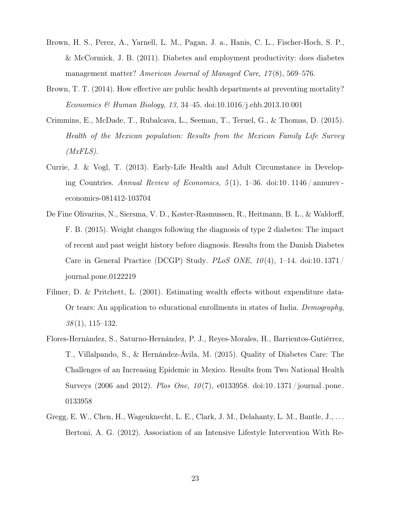- <span id="page-22-2"></span>Brown, H. S., Perez, A., Yarnell, L. M., Pagan, J. a., Hanis, C. L., Fischer-Hoch, S. P., & McCormick, J. B. (2011). Diabetes and employment productivity: does diabetes management matter? American Journal of Managed Care, 17(8), 569-576.
- <span id="page-22-1"></span>Brown, T. T. (2014). How effective are public health departments at preventing mortality? Economics & Human Biology, 13, 34–45. doi[:10.1016/j.ehb.2013.10.001](https://dx.doi.org/10.1016/j.ehb.2013.10.001)
- <span id="page-22-4"></span>Crimmins, E., McDade, T., Rubalcava, L., Seeman, T., Teruel, G., & Thomas, D. (2015). Health of the Mexican population: Results from the Mexican Family Life Survey  $(MxFLS).$
- <span id="page-22-3"></span>Currie, J. & Vogl, T. (2013). Early-Life Health and Adult Circumstance in Developing Countries. Annual Review of Economics,  $5(1)$ , 1–36. doi:10.1146 / annurev [economics-081412-103704](https://dx.doi.org/10.1146/annurev-economics-081412-103704)
- <span id="page-22-5"></span>De Fine Olivarius, N., Siersma, V. D., Køster-Rasmussen, R., Heitmann, B. L., & Waldorff, F. B. (2015). Weight changes following the diagnosis of type 2 diabetes: The impact of recent and past weight history before diagnosis. Results from the Danish Diabetes Care in General Practice (DCGP) Study. PLoS ONE,  $10(4)$ , 1-14. doi[:10.1371/](https://dx.doi.org/10.1371/journal.pone.0122219) [journal.pone.0122219](https://dx.doi.org/10.1371/journal.pone.0122219)
- <span id="page-22-6"></span>Filmer, D. & Pritchett, L. (2001). Estimating wealth effects without expenditure data-Or tears: An application to educational enrollments in states of India. Demography,  $38(1), 115-132.$
- <span id="page-22-7"></span>Flores-Hernández, S., Saturno-Hernández, P. J., Reyes-Morales, H., Barrientos-Gutiérrez, T., Villalpando, S., & Hernández-Ávila, M. (2015). Quality of Diabetes Care: The Challenges of an Increasing Epidemic in Mexico. Results from Two National Health Surveys (2006 and 2012). Plos One,  $10(7)$ , e0133958. doi:10.1371/journal.pone. [0133958](https://dx.doi.org/10.1371/journal.pone.0133958)
- <span id="page-22-0"></span>Gregg, E. W., Chen, H., Wagenknecht, L. E., Clark, J. M., Delahanty, L. M., Bantle, J., ... Bertoni, A. G. (2012). Association of an Intensive Lifestyle Intervention With Re-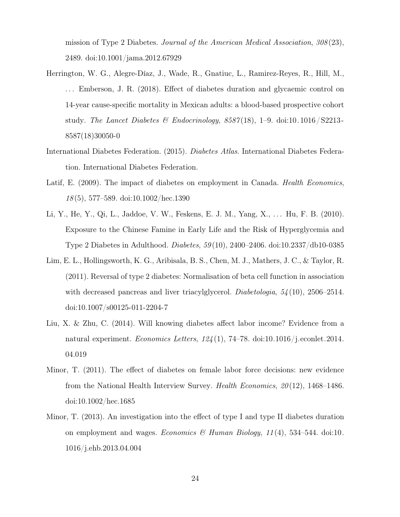mission of Type 2 Diabetes. Journal of the American Medical Association, 308 (23), 2489. doi[:10.1001/jama.2012.67929](https://dx.doi.org/10.1001/jama.2012.67929)

- <span id="page-23-7"></span>Herrington, W. G., Alegre-Díaz, J., Wade, R., Gnatiuc, L., Ramirez-Reyes, R., Hill, M., . . . Emberson, J. R. (2018). Effect of diabetes duration and glycaemic control on 14-year cause-specific mortality in Mexican adults: a blood-based prospective cohort study. The Lancet Diabetes & Endocrinology,  $8587(18)$ , 1–9. doi:10.1016/S2213-[8587\(18\)30050-0](https://dx.doi.org/10.1016/S2213-8587(18)30050-0)
- <span id="page-23-0"></span>International Diabetes Federation. (2015). Diabetes Atlas. International Diabetes Federation. International Diabetes Federation.
- <span id="page-23-4"></span>Latif, E. (2009). The impact of diabetes on employment in Canada. *Health Economics*, 18 (5), 577–589. doi[:10.1002/hec.1390](https://dx.doi.org/10.1002/hec.1390)
- <span id="page-23-6"></span>Li, Y., He, Y., Qi, L., Jaddoe, V. W., Feskens, E. J. M., Yang, X., . . . Hu, F. B. (2010). Exposure to the Chinese Famine in Early Life and the Risk of Hyperglycemia and Type 2 Diabetes in Adulthood. Diabetes, 59 (10), 2400–2406. doi[:10.2337/db10-0385](https://dx.doi.org/10.2337/db10-0385)
- <span id="page-23-1"></span>Lim, E. L., Hollingsworth, K. G., Aribisala, B. S., Chen, M. J., Mathers, J. C., & Taylor, R. (2011). Reversal of type 2 diabetes: Normalisation of beta cell function in association with decreased pancreas and liver triacylglycerol. *Diabetologia*,  $54(10)$ , 2506–2514. doi[:10.1007/s00125-011-2204-7](https://dx.doi.org/10.1007/s00125-011-2204-7)
- <span id="page-23-5"></span>Liu, X. & Zhu, C. (2014). Will knowing diabetes affect labor income? Evidence from a natural experiment. Economics Letters,  $124(1)$ , 74–78. doi[:10.1016/j.econlet.2014.](https://dx.doi.org/10.1016/j.econlet.2014.04.019) [04.019](https://dx.doi.org/10.1016/j.econlet.2014.04.019)
- <span id="page-23-2"></span>Minor, T. (2011). The effect of diabetes on female labor force decisions: new evidence from the National Health Interview Survey. Health Economics, 20 (12), 1468–1486. doi[:10.1002/hec.1685](https://dx.doi.org/10.1002/hec.1685)
- <span id="page-23-3"></span>Minor, T. (2013). An investigation into the effect of type I and type II diabetes duration on employment and wages. Economics & Human Biology,  $11(4)$ , 534–544. doi[:10.](https://dx.doi.org/10.1016/j.ehb.2013.04.004) [1016/j.ehb.2013.04.004](https://dx.doi.org/10.1016/j.ehb.2013.04.004)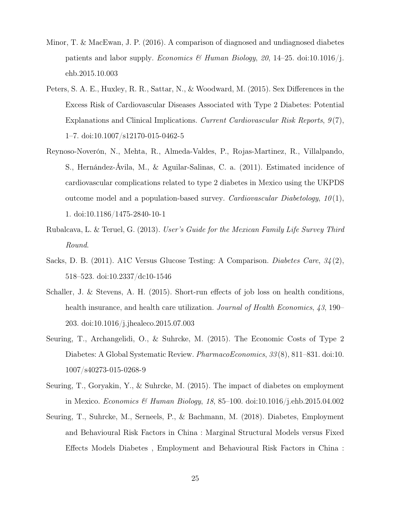- <span id="page-24-2"></span>Minor, T. & MacEwan, J. P. (2016). A comparison of diagnosed and undiagnosed diabetes patients and labor supply. Economics & Human Biology, 20, 14–25. doi[:10.1016/j.](https://dx.doi.org/10.1016/j.ehb.2015.10.003) [ehb.2015.10.003](https://dx.doi.org/10.1016/j.ehb.2015.10.003)
- <span id="page-24-8"></span>Peters, S. A. E., Huxley, R. R., Sattar, N., & Woodward, M. (2015). Sex Differences in the Excess Risk of Cardiovascular Diseases Associated with Type 2 Diabetes: Potential Explanations and Clinical Implications. Current Cardiovascular Risk Reports,  $9(7)$ , 1–7. doi[:10.1007/s12170-015-0462-5](https://dx.doi.org/10.1007/s12170-015-0462-5)
- <span id="page-24-0"></span>Reynoso-Noverón, N., Mehta, R., Almeda-Valdes, P., Rojas-Martinez, R., Villalpando, S., Hernández-Ávila, M., & Aguilar-Salinas, C. a. (2011). Estimated incidence of cardiovascular complications related to type 2 diabetes in Mexico using the UKPDS outcome model and a population-based survey. Cardiovascular Diabetology,  $10(1)$ , 1. doi[:10.1186/1475-2840-10-1](https://dx.doi.org/10.1186/1475-2840-10-1)
- <span id="page-24-4"></span>Rubalcava, L. & Teruel, G. (2013). User's Guide for the Mexican Family Life Survey Third Round.
- <span id="page-24-7"></span>Sacks, D. B. (2011). A1C Versus Glucose Testing: A Comparison. Diabetes Care, 34 (2), 518–523. doi[:10.2337/dc10-1546](https://dx.doi.org/10.2337/dc10-1546)
- <span id="page-24-6"></span>Schaller, J. & Stevens, A. H. (2015). Short-run effects of job loss on health conditions, health insurance, and health care utilization. *Journal of Health Economics*, 43, 190– 203. doi[:10.1016/j.jhealeco.2015.07.003](https://dx.doi.org/10.1016/j.jhealeco.2015.07.003)
- <span id="page-24-1"></span>Seuring, T., Archangelidi, O., & Suhrcke, M. (2015). The Economic Costs of Type 2 Diabetes: A Global Systematic Review. *PharmacoEconomics*, 33(8), 811–831. doi[:10.](https://dx.doi.org/10.1007/s40273-015-0268-9) [1007/s40273-015-0268-9](https://dx.doi.org/10.1007/s40273-015-0268-9)
- <span id="page-24-3"></span>Seuring, T., Goryakin, Y., & Suhrcke, M. (2015). The impact of diabetes on employment in Mexico. *Economics & Human Biology*, 18, 85–100. doi[:10.1016/j.ehb.2015.04.002](https://dx.doi.org/10.1016/j.ehb.2015.04.002)
- <span id="page-24-5"></span>Seuring, T., Suhrcke, M., Serneels, P., & Bachmann, M. (2018). Diabetes, Employment and Behavioural Risk Factors in China : Marginal Structural Models versus Fixed Effects Models Diabetes , Employment and Behavioural Risk Factors in China :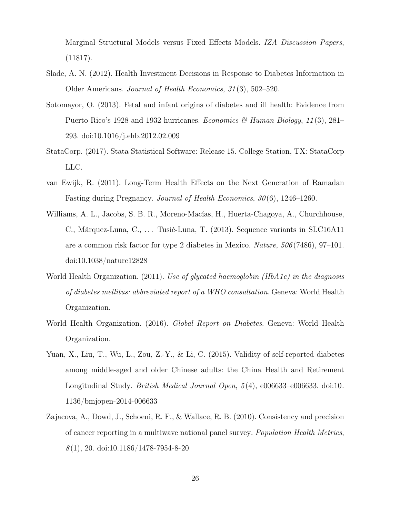Marginal Structural Models versus Fixed Effects Models. IZA Discussion Papers, (11817).

- <span id="page-25-5"></span>Slade, A. N. (2012). Health Investment Decisions in Response to Diabetes Information in Older Americans. Journal of Health Economics, 31 (3), 502–520.
- <span id="page-25-3"></span>Sotomayor, O. (2013). Fetal and infant origins of diabetes and ill health: Evidence from Puerto Rico's 1928 and 1932 hurricanes. *Economics & Human Biology*, 11(3), 281– 293. doi[:10.1016/j.ehb.2012.02.009](https://dx.doi.org/10.1016/j.ehb.2012.02.009)
- <span id="page-25-6"></span>StataCorp. (2017). Stata Statistical Software: Release 15. College Station, TX: StataCorp LLC.
- <span id="page-25-2"></span>van Ewijk, R. (2011). Long-Term Health Effects on the Next Generation of Ramadan Fasting during Pregnancy. Journal of Health Economics, 30 (6), 1246–1260.
- <span id="page-25-0"></span>Williams, A. L., Jacobs, S. B. R., Moreno-Macías, H., Huerta-Chagoya, A., Churchhouse, C., Márquez-Luna, C., ... Tusié-Luna, T. (2013). Sequence variants in SLC16A11 are a common risk factor for type 2 diabetes in Mexico. Nature, 506 (7486), 97–101. doi[:10.1038/nature12828](https://dx.doi.org/10.1038/nature12828)
- <span id="page-25-4"></span>World Health Organization. (2011). Use of glycated haemoglobin (HbA1c) in the diagnosis of diabetes mellitus: abbreviated report of a WHO consultation. Geneva: World Health Organization.
- <span id="page-25-1"></span>World Health Organization. (2016). Global Report on Diabetes. Geneva: World Health Organization.
- <span id="page-25-8"></span>Yuan, X., Liu, T., Wu, L., Zou, Z.-Y., & Li, C. (2015). Validity of self-reported diabetes among middle-aged and older Chinese adults: the China Health and Retirement Longitudinal Study. *British Medical Journal Open*, 5(4), e006633–e006633. doi[:10.](https://dx.doi.org/10.1136/bmjopen-2014-006633) [1136/bmjopen-2014-006633](https://dx.doi.org/10.1136/bmjopen-2014-006633)
- <span id="page-25-7"></span>Zajacova, A., Dowd, J., Schoeni, R. F., & Wallace, R. B. (2010). Consistency and precision of cancer reporting in a multiwave national panel survey. Population Health Metrics,  $8(1)$ , 20. doi[:10.1186/1478-7954-8-20](https://dx.doi.org/10.1186/1478-7954-8-20)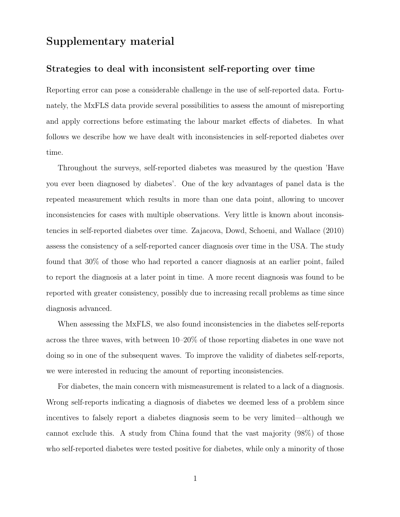## Supplementary material

#### Strategies to deal with inconsistent self-reporting over time

Reporting error can pose a considerable challenge in the use of self-reported data. Fortunately, the MxFLS data provide several possibilities to assess the amount of misreporting and apply corrections before estimating the labour market effects of diabetes. In what follows we describe how we have dealt with inconsistencies in self-reported diabetes over time.

Throughout the surveys, self-reported diabetes was measured by the question 'Have you ever been diagnosed by diabetes'. One of the key advantages of panel data is the repeated measurement which results in more than one data point, allowing to uncover inconsistencies for cases with multiple observations. Very little is known about inconsistencies in self-reported diabetes over time. Zajacova, Dowd, Schoeni, and Wallace [\(2010\)](#page-25-7) assess the consistency of a self-reported cancer diagnosis over time in the USA. The study found that 30% of those who had reported a cancer diagnosis at an earlier point, failed to report the diagnosis at a later point in time. A more recent diagnosis was found to be reported with greater consistency, possibly due to increasing recall problems as time since diagnosis advanced.

When assessing the MxFLS, we also found inconsistencies in the diabetes self-reports across the three waves, with between 10–20% of those reporting diabetes in one wave not doing so in one of the subsequent waves. To improve the validity of diabetes self-reports, we were interested in reducing the amount of reporting inconsistencies.

For diabetes, the main concern with mismeasurement is related to a lack of a diagnosis. Wrong self-reports indicating a diagnosis of diabetes we deemed less of a problem since incentives to falsely report a diabetes diagnosis seem to be very limited—although we cannot exclude this. A study from China found that the vast majority (98%) of those who self-reported diabetes were tested positive for diabetes, while only a minority of those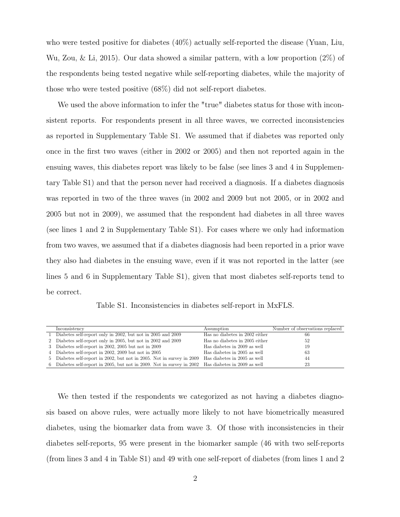who were tested positive for diabetes (40%) actually self-reported the disease (Yuan, Liu, Wu, Zou, & Li, [2015\)](#page-25-8). Our data showed a similar pattern, with a low proportion (2%) of the respondents being tested negative while self-reporting diabetes, while the majority of those who were tested positive (68%) did not self-report diabetes.

We used the above information to infer the "true" diabetes status for those with inconsistent reports. For respondents present in all three waves, we corrected inconsistencies as reported in Supplementary Table [S1.](#page-27-0) We assumed that if diabetes was reported only once in the first two waves (either in 2002 or 2005) and then not reported again in the ensuing waves, this diabetes report was likely to be false (see lines 3 and 4 in Supplementary Table [S1\)](#page-27-0) and that the person never had received a diagnosis. If a diabetes diagnosis was reported in two of the three waves (in 2002 and 2009 but not 2005, or in 2002 and 2005 but not in 2009), we assumed that the respondent had diabetes in all three waves (see lines 1 and 2 in Supplementary Table [S1\)](#page-27-0). For cases where we only had information from two waves, we assumed that if a diabetes diagnosis had been reported in a prior wave they also had diabetes in the ensuing wave, even if it was not reported in the latter (see lines 5 and 6 in Supplementary Table [S1\)](#page-27-0), given that most diabetes self-reports tend to be correct.

Table S1. Inconsistencies in diabetes self-report in MxFLS.

<span id="page-27-0"></span>

| Inconsistency                                                                                       | Assumption                     | Number of observations replaced |
|-----------------------------------------------------------------------------------------------------|--------------------------------|---------------------------------|
| 1 Diabetes self-report only in 2002, but not in 2005 and 2009                                       | Has no diabetes in 2002 either | 66                              |
| 2 Diabetes self-report only in 2005, but not in 2002 and 2009                                       | Has no diabetes in 2005 either | 52                              |
| 3 Diabetes self-report in 2002, 2005 but not in 2009                                                | Has diabetes in 2009 as well   | 19                              |
| 4 Diabetes self-report in 2002, 2009 but not in 2005                                                | Has diabetes in 2005 as well   | 63                              |
| 5 Diabetes self-report in 2002, but not in 2005. Not in survey in 2009 Has diabetes in 2005 as well |                                | 44                              |
| 6 Diabetes self-report in 2005, but not in 2009. Not in survey in 2002 Has diabetes in 2009 as well |                                | 23                              |

We then tested if the respondents we categorized as not having a diabetes diagnosis based on above rules, were actually more likely to not have biometrically measured diabetes, using the biomarker data from wave 3. Of those with inconsistencies in their diabetes self-reports, 95 were present in the biomarker sample (46 with two self-reports (from lines 3 and 4 in Table [S1\)](#page-27-0) and 49 with one self-report of diabetes (from lines 1 and 2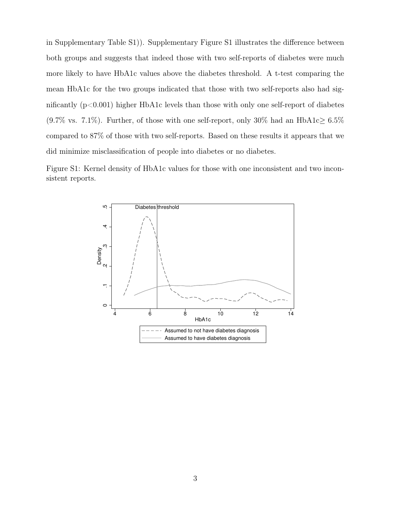in Supplementary Table [S1\)](#page-27-0)). Supplementary Figure [S1](#page-28-0) illustrates the difference between both groups and suggests that indeed those with two self-reports of diabetes were much more likely to have HbA1c values above the diabetes threshold. A t-test comparing the mean HbA1c for the two groups indicated that those with two self-reports also had significantly  $(p<0.001)$  higher HbA1c levels than those with only one self-report of diabetes (9.7% vs. 7.1%). Further, of those with one self-report, only 30% had an HbA1c $\geq 6.5\%$ compared to 87% of those with two self-reports. Based on these results it appears that we did minimize misclassification of people into diabetes or no diabetes.

<span id="page-28-0"></span>

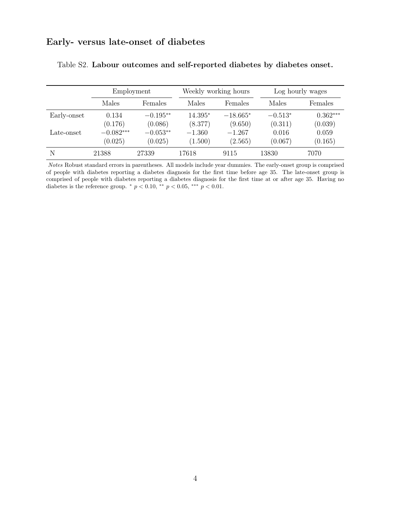## Early- versus late-onset of diabetes

|             | Employment             |                       |                      | Weekly working hours  | Log hourly wages     |                       |  |
|-------------|------------------------|-----------------------|----------------------|-----------------------|----------------------|-----------------------|--|
|             | Males<br>Females       |                       | Males                | Females               | Males                | Females               |  |
| Early-onset | 0.134<br>(0.176)       | $-0.195**$<br>(0.086) | $14.395*$<br>(8.377) | $-18.665*$<br>(9.650) | $-0.513*$<br>(0.311) | $0.362***$<br>(0.039) |  |
| Late-onset  | $-0.082***$<br>(0.025) | $-0.053**$<br>(0.025) | $-1.360$<br>(1.500)  | $-1.267$<br>(2.565)   | 0.016<br>(0.067)     | 0.059<br>(0.165)      |  |
| N           | 21388                  | 27339                 | 17618                | 9115                  | 13830                | 7070                  |  |

<span id="page-29-0"></span>

|  |  | Table S2. Labour outcomes and self-reported diabetes by diabetes onset. |  |  |
|--|--|-------------------------------------------------------------------------|--|--|
|  |  |                                                                         |  |  |

Notes Robust standard errors in parentheses. All models include year dummies. The early-onset group is comprised of people with diabetes reporting a diabetes diagnosis for the first time before age 35. The late-onset group is comprised of people with diabetes reporting a diabetes diagnosis for the first time at or after age 35. Having no diabetes is the reference group. \*  $p < 0.10$ , \*\*  $p < 0.05$ , \*\*\*  $p < 0.01$ .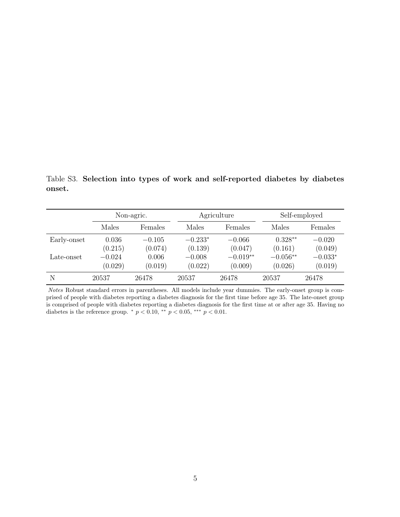<span id="page-30-0"></span>Table S3. Selection into types of work and self-reported diabetes by diabetes onset.

|             | Non-agric.          |                     |                      | Agriculture           | Self-employed         |                      |  |
|-------------|---------------------|---------------------|----------------------|-----------------------|-----------------------|----------------------|--|
|             | Males<br>Females    |                     | Males                | Females               | Males                 | Females              |  |
| Early-onset | 0.036<br>(0.215)    | $-0.105$<br>(0.074) | $-0.233*$<br>(0.139) | $-0.066$<br>(0.047)   | $0.328**$<br>(0.161)  | $-0.020$<br>(0.049)  |  |
| Late-onset  | $-0.024$<br>(0.029) | 0.006<br>(0.019)    | $-0.008$<br>(0.022)  | $-0.019**$<br>(0.009) | $-0.056**$<br>(0.026) | $-0.033*$<br>(0.019) |  |
| N           | 20537               | 26478               | 20537                | 26478                 | 20537                 | 26478                |  |

Notes Robust standard errors in parentheses. All models include year dummies. The early-onset group is comprised of people with diabetes reporting a diabetes diagnosis for the first time before age 35. The late-onset group is comprised of people with diabetes reporting a diabetes diagnosis for the first time at or after age 35. Having no diabetes is the reference group. \*  $p < 0.10$ , \*\*  $p < 0.05$ , \*\*\*  $p < 0.01$ .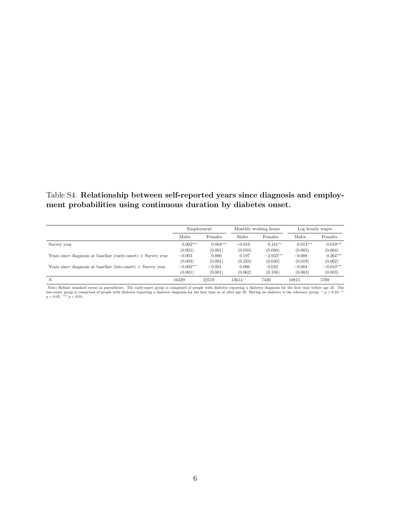#### <span id="page-31-0"></span>Table S4. Relationship between self-reported years since diagnosis and employment probabilities using continuous duration by diabetes onset.

|                                                                      | Employment  |            | Monthly working hours |             | Log hourly wages |             |
|----------------------------------------------------------------------|-------------|------------|-----------------------|-------------|------------------|-------------|
|                                                                      | Males       | Females    | Males                 | Females     | Males            | Females     |
| Survey year                                                          | $0.003***$  | $0.004***$ | $-0.019$              | $0.181**$   | $0.014***$       | $0.019***$  |
|                                                                      | (0.001)     | (0.001)    | (0.050)               | (0.080)     | (0.003)          | (0.004)     |
| Years since diagnosis at baseline (early-onset) $\times$ Survey year | $-0.003$    | 0.000      | 0.197                 | $-2.933***$ | $-0.008$         | $0.264***$  |
|                                                                      | (0.003)     | (0.001)    | (0.233)               | (0.040)     | (0.019)          | (0.002)     |
| Years since diagnosis at baseline (late-onset) $\times$ Survey year  | $-0.003***$ | $-0.001$   | 0.006                 | 0.042       | $-0.004$         | $-0.010***$ |
|                                                                      | (0.001)     | (0.001)    | (0.062)               | (0.108)     | (0.003)          | (0.003)     |
| N                                                                    | 16329       | 22519      | 13614                 | 7430        | 10815            | 5769        |

*Notes* Robust standard errors in parentheses. The early-onset group is comprised of people with diabetes reporting a diabetes diagnosis for the first time before age 35. The late-onset group is comprised of people with d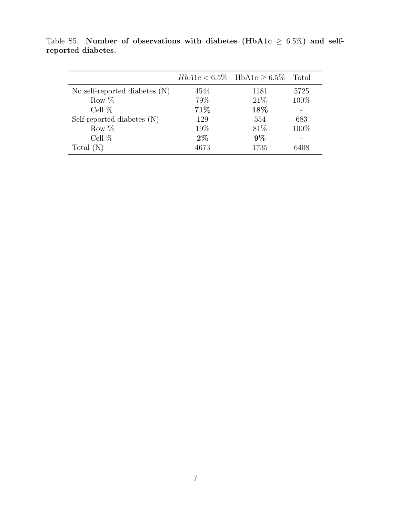|                                 |       | $HbA1c < 6.5\%$ HbA1c > 6.5% | Total |
|---------------------------------|-------|------------------------------|-------|
| No self-reported diabetes $(N)$ | 4544  | 1181                         | 5725  |
| Row $%$                         | 79%   | 21%                          | 100\% |
| Cell $%$                        | 71\%  | 18%                          |       |
| Self-reported diabetes (N)      | 129   | 554                          | 683   |
| Row $%$                         | 19%   | 81\%                         | 100\% |
| Cell $%$                        | $2\%$ | $9\%$                        |       |
| Total $(N)$                     | 4673  | 1735                         | 6408  |

<span id="page-32-0"></span>Table S5. Number of observations with diabetes (HbA1c  $\geq 6.5\%$ ) and selfreported diabetes.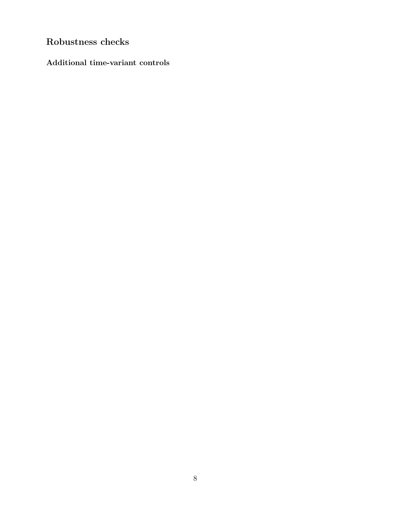## Robustness checks

Additional time-variant controls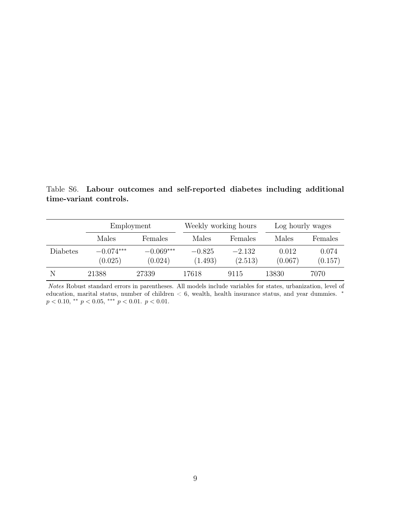<span id="page-34-0"></span>Table S6. Labour outcomes and self-reported diabetes including additional time-variant controls.

|          | Employment<br>Males<br>Females |                        | Weekly working hours |                     | Log hourly wages |                  |  |
|----------|--------------------------------|------------------------|----------------------|---------------------|------------------|------------------|--|
|          |                                |                        | Males                | Females             | Males            | Females          |  |
| Diabetes | $-0.074***$<br>(0.025)         | $-0.069***$<br>(0.024) | $-0.825$<br>(1.493)  | $-2.132$<br>(2.513) | 0.012<br>(0.067) | 0.074<br>(0.157) |  |
| N        | 21388                          | 27339                  | 17618                | 9115                | 13830            | 7070             |  |

Notes Robust standard errors in parentheses. All models include variables for states, urbanization, level of education, marital status, number of children < 6, wealth, health insurance status, and year dummies. <sup>∗</sup>  $p < 0.10,$  \*\*  $p < 0.05,$  \*\*\*  $p < 0.01.$   $p < 0.01.$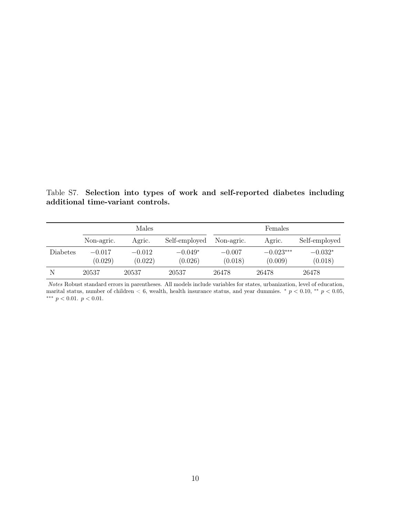<span id="page-35-0"></span>Table S7. Selection into types of work and self-reported diabetes including additional time-variant controls.

|          |                     | Males               |                      | Females             |                        |                      |  |
|----------|---------------------|---------------------|----------------------|---------------------|------------------------|----------------------|--|
|          | Non-agric.          | Agric.              | Self-employed        | Non-agric.          | Agric.                 | Self-employed        |  |
| Diabetes | $-0.017$<br>(0.029) | $-0.012$<br>(0.022) | $-0.049*$<br>(0.026) | $-0.007$<br>(0.018) | $-0.023***$<br>(0.009) | $-0.032*$<br>(0.018) |  |
| N        | 20537               | 20537               | 20537                | 26478               | 26478                  | 26478                |  |

Notes Robust standard errors in parentheses. All models include variables for states, urbanization, level of education, marital status, number of children  $< 6$ , wealth, health insurance status, and year dummies. \*  $p < 0.10$ , \*\*  $p < 0.05$ , ∗∗∗ p < 0.01. p < 0.01.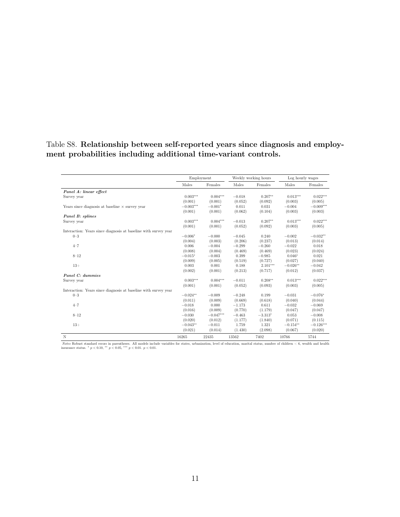#### <span id="page-36-0"></span>Table S8. Relationship between self-reported years since diagnosis and employment probabilities including additional time-variant controls.

|                                                                 | Employment  |             | Weekly working hours |            | Log hourly wages |             |
|-----------------------------------------------------------------|-------------|-------------|----------------------|------------|------------------|-------------|
|                                                                 | Males       | Females     | Males                | Females    | Males            | Females     |
| Panel A: linear effect                                          |             |             |                      |            |                  |             |
| Survey year                                                     | $0.003***$  | $0.004***$  | $-0.018$             | $0.207**$  | $0.013***$       | $0.022***$  |
|                                                                 | (0.001)     | (0.001)     | (0.052)              | (0.092)    | (0.003)          | (0.005)     |
| Years since diagnosis at baseline $\times$ survey year          | $-0.003***$ | $-0.001*$   | 0.011                | 0.031      | $-0.004$         | $-0.009***$ |
|                                                                 | (0.001)     | (0.001)     | (0.062)              | (0.104)    | (0.003)          | (0.003)     |
| Panel B: splines                                                |             |             |                      |            |                  |             |
| Survey year                                                     | $0.003***$  | $0.004***$  | $-0.013$             | $0.207**$  | $0.013***$       | $0.022***$  |
|                                                                 | (0.001)     | (0.001)     | (0.052)              | (0.092)    | (0.003)          | (0.005)     |
| Interaction: Years since diagnosis at baseline with survey year |             |             |                      |            |                  |             |
| $0 - 3$                                                         | $-0.006*$   | $-0.000$    | $-0.045$             | 0.240      | $-0.002$         | $-0.032**$  |
|                                                                 | (0.004)     | (0.003)     | (0.206)              | (0.237)    | (0.013)          | (0.014)     |
| $4 - 7$                                                         | 0.006       | $-0.004$    | $-0.299$             | $-0.260$   | $-0.022$         | 0.018       |
|                                                                 | (0.008)     | (0.004)     | (0.469)              | (0.469)    | (0.023)          | (0.024)     |
| $8 - 12$                                                        | $-0.015*$   | $-0.003$    | 0.399                | $-0.985$   | $0.046*$         | 0.021       |
|                                                                 | (0.009)     | (0.005)     | (0.519)              | (0.727)    | (0.027)          | (0.040)     |
| $13+$                                                           | 0.003       | 0.001       | 0.188                | $2.101***$ | $-0.026**$       | $-0.042$    |
|                                                                 | (0.002)     | (0.001)     | (0.213)              | (0.717)    | (0.012)          | (0.037)     |
| Panel C: dummies                                                |             |             |                      |            |                  |             |
| Survey year                                                     | $0.003***$  | $0.004***$  | $-0.011$             | $0.208**$  | $0.013***$       | $0.022***$  |
|                                                                 | (0.001)     | (0.001)     | (0.052)              | (0.093)    | (0.003)          | (0.005)     |
| Interaction: Years since diagnosis at baseline with survey year |             |             |                      |            |                  |             |
| $0 - 3$                                                         | $-0.024**$  | $-0.009$    | $-0.248$             | 0.199      | $-0.031$         | $-0.076*$   |
|                                                                 | (0.011)     | (0.009)     | (0.669)              | (0.618)    | (0.040)          | (0.044)     |
| $4 - 7$                                                         | $-0.018$    | 0.000       | $-1.173$             | 0.611      | $-0.032$         | $-0.069$    |
|                                                                 | (0.016)     | (0.009)     | (0.770)              | (1.179)    | (0.047)          | (0.047)     |
| $8 - 12$                                                        | $-0.030$    | $-0.047***$ | $-0.463$             | $-3.313*$  | 0.053            | $-0.008$    |
|                                                                 | (0.020)     | (0.012)     | (1.177)              | (1.840)    | (0.071)          | (0.115)     |
| $13+$                                                           | $-0.043**$  | $-0.011$    | 1.759                | 1.321      | $-0.154**$       | $-0.126***$ |
|                                                                 | (0.021)     | (0.014)     | (1.430)              | (2.098)    | (0.067)          | (0.020)     |
| N                                                               | 16265       | 22435       | 13562                | 7402       | 10766            | 5744        |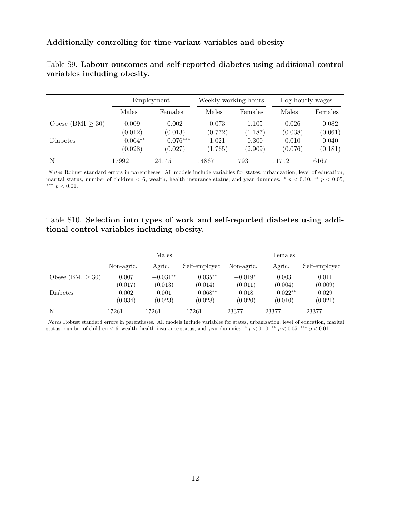#### Additionally controlling for time-variant variables and obesity

|                        |            | Employment  |          | Weekly working hours | Log hourly wages |         |  |
|------------------------|------------|-------------|----------|----------------------|------------------|---------|--|
|                        | Males      | Females     |          | Females              | Males            | Females |  |
| Obese (BMI $\geq 30$ ) | 0.009      | $-0.002$    | $-0.073$ | $-1.105$             | 0.026            | 0.082   |  |
|                        | (0.012)    | (0.013)     | (0.772)  | (1.187)              | (0.038)          | (0.061) |  |
| Diabetes               | $-0.064**$ | $-0.076***$ | $-1.021$ | $-0.300$             | $-0.010$         | 0.040   |  |
|                        | (0.028)    | (0.027)     | (1.765)  | (2.909)              | (0.076)          | (0.181) |  |
| N                      | 17992      | 24145       | 14867    | 7931                 | 11712            | 6167    |  |

<span id="page-37-0"></span>Table S9. Labour outcomes and self-reported diabetes using additional control variables including obesity.

Notes Robust standard errors in parentheses. All models include variables for states, urbanization, level of education, marital status, number of children  $< 6$ , wealth, health insurance status, and year dummies. \*  $p < 0.10$ , \*\*  $p < 0.05$ , ∗∗∗ p < 0.01.

#### <span id="page-37-1"></span>Table S10. Selection into types of work and self-reported diabetes using additional control variables including obesity.

|                       | Males      |            |               | Females    |            |               |  |
|-----------------------|------------|------------|---------------|------------|------------|---------------|--|
|                       | Non-agric. | Agric.     | Self-employed | Non-agric. | Agric.     | Self-employed |  |
| Obese (BMI $\geq$ 30) | 0.007      | $-0.031**$ | $0.035**$     | $-0.019*$  | 0.003      | 0.011         |  |
|                       | (0.017)    | (0.013)    | (0.014)       | (0.011)    | (0.004)    | (0.009)       |  |
| <b>Diabetes</b>       | 0.002      | $-0.001$   | $-0.068**$    | $-0.018$   | $-0.022**$ | $-0.029$      |  |
|                       | (0.034)    | (0.023)    | (0.028)       | (0.020)    | (0.010)    | (0.021)       |  |
| N                     | 17261      | 17261      | 17261         | 23377      | 23377      | 23377         |  |

Notes Robust standard errors in parentheses. All models include variables for states, urbanization, level of education, marital status, number of children < 6, wealth, health insurance status, and year dummies. \*  $p < 0.10$ , \*\*  $p < 0.05$ , \*\*\*  $p < 0.01$ .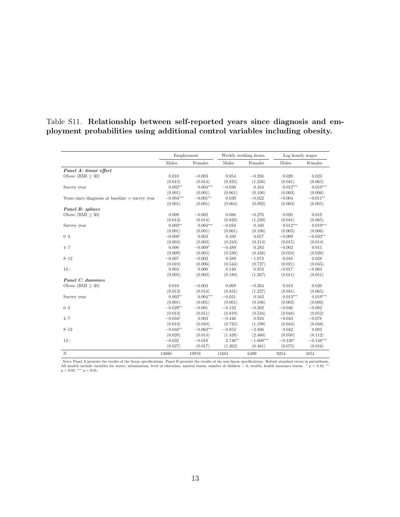#### <span id="page-38-0"></span>Table S11. Relationship between self-reported years since diagnosis and employment probabilities using additional control variables including obesity.

|                                                        | Employment  |             |           | Weekly working hours | Log hourly wages |             |
|--------------------------------------------------------|-------------|-------------|-----------|----------------------|------------------|-------------|
|                                                        | Males       | Females     | Males     | Females              | Males            | Females     |
| Panel A: linear effect                                 |             |             |           |                      |                  |             |
| Obese (BMI $\geq 30$ )                                 | 0.010       | $-0.003$    | 0.054     | $-0.288$             | 0.020            | 0.023       |
|                                                        | (0.013)     | (0.014)     | (0.835)   | (1.236)              | (0.041)          | (0.065)     |
| Survey year                                            | $0.002**$   | $0.004***$  | $-0.036$  | 0.164                | $0.012***$       | $0.019***$  |
|                                                        | (0.001)     | (0.001)     | (0.061)   | (0.106)              | (0.003)          | (0.006)     |
| Years since diagnosis at baseline $\times$ survey year | $-0.004***$ | $-0.001**$  | 0.039     | $-0.022$             | $-0.004$         | $-0.011**$  |
|                                                        | (0.001)     | (0.001)     | (0.064)   | (0.092)              | (0.003)          | (0.005)     |
| Panel B: splines                                       |             |             |           |                      |                  |             |
| Obese (BMI $\geq 30$ )                                 | 0.009       | $-0.002$    | 0.086     | $-0.270$             | 0.020            | 0.019       |
|                                                        | (0.013)     | (0.014)     | (0.828)   | (1.239)              | (0.041)          | (0.065)     |
| Survey year                                            | $0.002**$   | $0.004***$  | $-0.034$  | 0.160                | $0.012***$       | $0.019***$  |
|                                                        | (0.001)     | (0.001)     | (0.061)   | (0.106)              | (0.003)          | (0.006)     |
| $0 - 3$                                                | $-0.008*$   | 0.003       | 0.100     | 0.057                | $-0.009$         | $-0.033**$  |
|                                                        | (0.004)     | (0.003)     | (0.243)   | (0.214)              | (0.015)          | (0.014)     |
| $4 - 7$                                                | 0.000       | $-0.009*$   | $-0.489$  | 0.283                | $-0.002$         | 0.015       |
|                                                        | (0.009)     | (0.005)     | (0.530)   | (0.438)              | (0.024)          | (0.026)     |
| $8 - 12$                                               | $-0.007$    | $-0.002$    | 0.589     | $-1.074$             | 0.016            | 0.028       |
|                                                        | (0.010)     | (0.006)     | (0.544)   | (0.727)              | (0.021)          | (0.045)     |
| $13+$                                                  | 0.003       | 0.000       | 0.140     | 0.953                | $-0.017$         | $-0.063$    |
|                                                        | (0.005)     | (0.003)     | (0.180)   | (1.267)              | (0.011)          | (0.051)     |
| Panel C: dummies                                       |             |             |           |                      |                  |             |
| Obese $(BMI > 30)$                                     | 0.010       | $-0.003$    | 0.069     | $-0.264$             | 0.019            | 0.020       |
|                                                        | (0.013)     | (0.014)     | (0.831)   | (1.237)              | (0.041)          | (0.065)     |
| Survey year                                            | $0.002**$   | $0.004***$  | $-0.031$  | 0.163                | $0.013***$       | $0.019***$  |
|                                                        | (0.001)     | (0.001)     | (0.061)   | (0.106)              | (0.003)          | (0.006)     |
| $0 - 3$                                                | $-0.029**$  | $-0.001$    | $-0.132$  | $-0.302$             | $-0.046$         | $-0.082$    |
|                                                        | (0.013)     | (0.011)     | (0.819)   | (0.534)              | (0.048)          | (0.052)     |
| $4 - 7$                                                | $-0.034*$   | 0.003       | $-0.446$  | 0.924                | $-0.043$         | $-0.078$    |
|                                                        | (0.018)     | (0.010)     | (0.735)   | (1.199)              | (0.044)          | (0.048)     |
| $8 - 12$                                               | $-0.048**$  | $-0.062***$ | $-0.852$  | $-2.406$             | 0.042            | 0.002       |
|                                                        | (0.020)     | (0.014)     | (1.428)   | (2.460)              | (0.050)          | (0.112)     |
| $13+$                                                  | $-0.032$    | $-0.018$    | $2.746**$ | $-1.600***$          | $-0.130*$        | $-0.148***$ |
|                                                        | (0.027)     | (0.017)     | (1.262)   | (0.461)              | (0.075)          | (0.016)     |
| N                                                      | 13880       | 19978       | 11601     | 6499                 | 9254             | 5051        |

*Notes* Panel A presents the results of the linear specifications. Panel B presents the results of the non-linear specifications. Robust standard errors in parentheses.<br>All models include variables for states, urbanizatio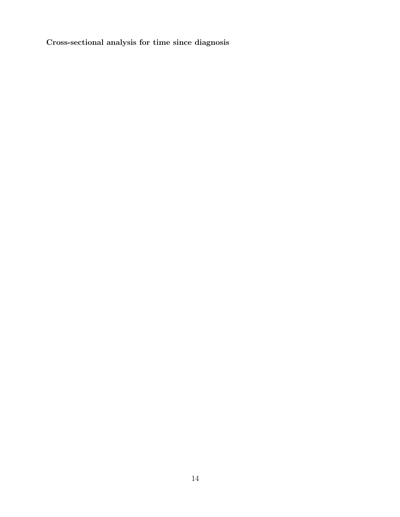Cross-sectional analysis for time since diagnosis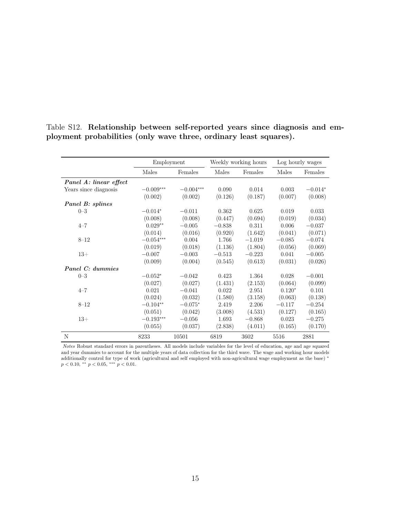|                        |             | Employment  |          | Weekly working hours |          | Log hourly wages |
|------------------------|-------------|-------------|----------|----------------------|----------|------------------|
|                        | Males       | Females     | Males    | Females              | Males    | Females          |
| Panel A: linear effect |             |             |          |                      |          |                  |
| Years since diagnosis  | $-0.009***$ | $-0.004***$ | 0.090    | 0.014                | 0.003    | $-0.014*$        |
|                        | (0.002)     | (0.002)     | (0.126)  | (0.187)              | (0.007)  | (0.008)          |
| Panel B: splines       |             |             |          |                      |          |                  |
| $0 - 3$                | $-0.014*$   | $-0.011$    | 0.362    | 0.625                | 0.019    | 0.033            |
|                        | (0.008)     | (0.008)     | (0.447)  | (0.694)              | (0.019)  | (0.034)          |
| $4 - 7$                | $0.029**$   | $-0.005$    | $-0.838$ | 0.311                | 0.006    | $-0.037$         |
|                        | (0.014)     | (0.016)     | (0.920)  | (1.642)              | (0.041)  | (0.071)          |
| $8 - 12$               | $-0.054***$ | 0.004       | 1.766    | $-1.019$             | $-0.085$ | $-0.074$         |
|                        | (0.019)     | (0.018)     | (1.136)  | (1.804)              | (0.056)  | (0.069)          |
| $13+$                  | $-0.007$    | $-0.003$    | $-0.513$ | $-0.223$             | 0.041    | $-0.005$         |
|                        | (0.009)     | (0.004)     | (0.545)  | (0.613)              | (0.031)  | (0.026)          |
| Panel C: dummies       |             |             |          |                      |          |                  |
| $0 - 3$                | $-0.052*$   | $-0.042$    | 0.423    | 1.364                | 0.028    | $-0.001$         |
|                        | (0.027)     | (0.027)     | (1.431)  | (2.153)              | (0.064)  | (0.099)          |
| $4 - 7$                | 0.021       | $-0.041$    | 0.022    | 2.951                | $0.120*$ | 0.101            |
|                        | (0.024)     | (0.032)     | (1.580)  | (3.158)              | (0.063)  | (0.138)          |
| $8 - 12$               | $-0.104**$  | $-0.075*$   | 2.419    | 2.206                | $-0.117$ | $-0.254$         |
|                        | (0.051)     | (0.042)     | (3.008)  | (4.531)              | (0.127)  | (0.165)          |
| $13+$                  | $-0.193***$ | $-0.056$    | 1.693    | $-0.868$             | 0.023    | $-0.275$         |
|                        | (0.055)     | (0.037)     | (2.838)  | (4.011)              | (0.165)  | (0.170)          |
| N                      | 8233        | 10501       | 6819     | 3602                 | 5516     | 2881             |

<span id="page-40-0"></span>Table S12. Relationship between self-reported years since diagnosis and employment probabilities (only wave three, ordinary least squares).

Notes Robust standard errors in parentheses. All models include variables for the level of education, age and age squared and year dummies to account for the multiple years of data collection for the third wave. The wage and working hour models additionally control for type of work (agricultural and self employed with non-agricultural wage employment as the base) <sup>∗</sup>  $p < 0.10,$  \*\*  $p < 0.05,$  \*\*\*  $p < 0.01$ .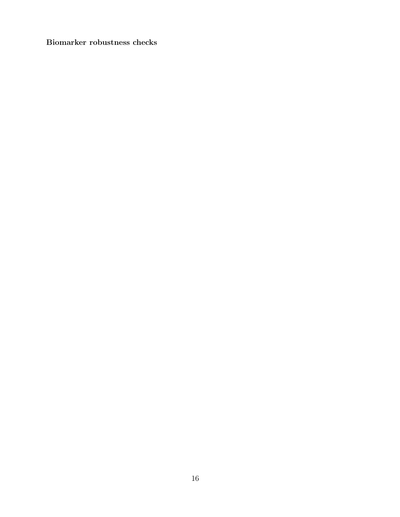Biomarker robustness checks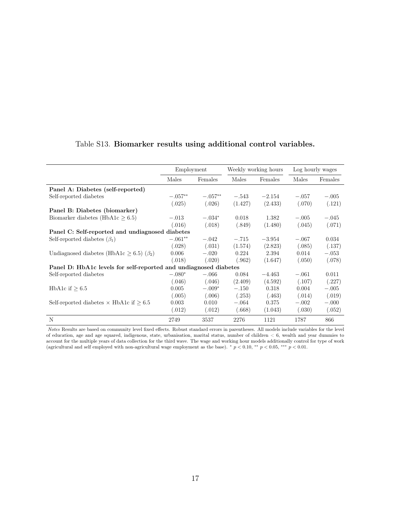|                                                                  | Employment |           |         | Weekly working hours |         | Log hourly wages |
|------------------------------------------------------------------|------------|-----------|---------|----------------------|---------|------------------|
|                                                                  | Males      | Females   | Males   | Females              | Males   | Females          |
| Panel A: Diabetes (self-reported)                                |            |           |         |                      |         |                  |
| Self-reported diabetes                                           | $-.057**$  | $-.057**$ | $-.543$ | $-2.154$             | $-.057$ | $-.005$          |
|                                                                  | (.025)     | (.026)    | (1.427) | (2.433)              | (.070)  | (.121)           |
| Panel B: Diabetes (biomarker)                                    |            |           |         |                      |         |                  |
| Biomarker diabetes (HbA1c $\geq 6.5$ )                           | $-.013$    | $-.034*$  | 0.018   | 1.382                | $-.005$ | $-.045$          |
|                                                                  | (.016)     | (.018)    | (.849)  | (1.480)              | (.045)  | (.071)           |
| Panel C: Self-reported and undiagnosed diabetes                  |            |           |         |                      |         |                  |
| Self-reported diabetes $(\beta_1)$                               | $-.061**$  | $-.042$   | $-.715$ | $-3.954$             | $-.067$ | 0.034            |
|                                                                  | (.028)     | (.031)    | (1.574) | (2.823)              | (.085)  | (.137)           |
| Undiagnosed diabetes (HbA1c $\geq$ 6.5) ( $\beta_2$ )            | 0.006      | $-.020$   | 0.224   | 2.394                | 0.014   | $-.053$          |
|                                                                  | (.018)     | (.020)    | (.962)  | (1.647)              | (.050)  | (.078)           |
| Panel D: HbA1c levels for self-reported and undiagnosed diabetes |            |           |         |                      |         |                  |
| Self-reported diabetes                                           | $-.080*$   | $-.066$   | 0.084   | $-4.463$             | $-.061$ | 0.011            |
|                                                                  | (.046)     | (.046)    | (2.409) | (4.592)              | (.107)  | (.227)           |
| HbA1c if $\geq 6.5$                                              | 0.005      | $-.009*$  | $-.150$ | 0.318                | 0.004   | $-.005$          |
|                                                                  | (.005)     | (.006)    | (.253)  | (.463)               | (.014)  | (.019)           |
| Self-reported diabetes $\times$ HbA1c if $\geq 6.5$              | 0.003      | 0.010     | $-.064$ | 0.375                | $-.002$ | $-.000$          |
|                                                                  | (.012)     | (.012)    | (.668)  | (1.043)              | (.030)  | (.052)           |
| N                                                                | 2749       | 3537      | 2276    | 1121                 | 1787    | 866              |

#### <span id="page-42-0"></span>Table S13. Biomarker results using additional control variables.

Notes Results are based on community level fixed effects. Robust standard errors in parentheses. All models include variables for the level of education, age and age squared, indigenous, state, urbanisation, marital status, number of children < 6, wealth and year dummies to account for the multiple years of data collection for the third wave. The wage and working hour models additionally control for type of work (agricultural and self employed with non-agricultural wage employment as the base).  $* p < 0.10, ** p < 0.05, ** p < 0.01$ .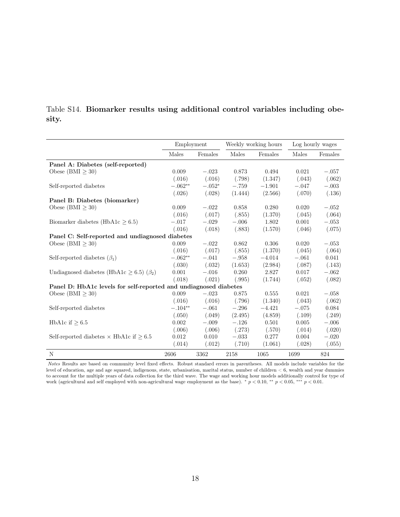<span id="page-43-0"></span>

|       | Table S14. Biomarker results using additional control variables including obe- |  |  |  |  |
|-------|--------------------------------------------------------------------------------|--|--|--|--|
| sity. |                                                                                |  |  |  |  |

|                                                                  | Employment |          |         | Weekly working hours | Log hourly wages |         |
|------------------------------------------------------------------|------------|----------|---------|----------------------|------------------|---------|
|                                                                  | Males      | Females  | Males   | Females              | Males            | Females |
| Panel A: Diabetes (self-reported)                                |            |          |         |                      |                  |         |
| Obese (BMI $\geq$ 30)                                            | 0.009      | $-.023$  | 0.873   | 0.494                | 0.021            | $-.057$ |
|                                                                  | (.016)     | (.016)   | (.798)  | (1.347)              | (.043)           | (.062)  |
| Self-reported diabetes                                           | $-.062**$  | $-.052*$ | $-.759$ | $-1.901$             | $-.047$          | $-.003$ |
|                                                                  | (.026)     | (.028)   | (1.444) | (2.566)              | (.070)           | (.136)  |
| Panel B: Diabetes (biomarker)                                    |            |          |         |                      |                  |         |
| Obese (BMI $\geq$ 30)                                            | 0.009      | $-.022$  | 0.858   | 0.280                | 0.020            | $-.052$ |
|                                                                  | (.016)     | (.017)   | (.855)  | (1.370)              | (.045)           | (.064)  |
| Biomarker diabetes (HbA1 $c > 6.5$ )                             | $-.017$    | $-.029$  | $-.006$ | 1.802                | 0.001            | $-.053$ |
|                                                                  | (.016)     | (.018)   | (.883)  | (1.570)              | (.046)           | (.075)  |
| Panel C: Self-reported and undiagnosed diabetes                  |            |          |         |                      |                  |         |
| Obese $(BMI > 30)$                                               | 0.009      | $-.022$  | 0.862   | 0.306                | 0.020            | $-.053$ |
|                                                                  | (.016)     | (.017)   | (.855)  | (1.370)              | (.045)           | (.064)  |
| Self-reported diabetes $(\beta_1)$                               | $-.062**$  | $-.041$  | $-.958$ | $-4.014$             | $-.061$          | 0.041   |
|                                                                  | (.030)     | (.032)   | (1.653) | (2.984)              | (.087)           | (.143)  |
| Undiagnosed diabetes (HbA1c $\geq$ 6.5) ( $\beta_2$ )            | 0.001      | $-.016$  | 0.260   | 2.827                | 0.017            | $-.062$ |
|                                                                  | (.018)     | (.021)   | (.995)  | (1.744)              | (.052)           | (.082)  |
| Panel D: HbA1c levels for self-reported and undiagnosed diabetes |            |          |         |                      |                  |         |
| Obese (BMI $\geq 30$ )                                           | 0.009      | $-.023$  | 0.875   | 0.555                | 0.021            | $-.058$ |
|                                                                  | (.016)     | (.016)   | (.796)  | (1.340)              | (.043)           | (.062)  |
| Self-reported diabetes                                           | $-.104**$  | $-.061$  | $-.296$ | $-4.421$             | $-.075$          | 0.084   |
|                                                                  | (.050)     | (.049)   | (2.495) | (4.859)              | (.109)           | (.249)  |
| HbA1c if $\geq 6.5$                                              | 0.002      | $-.009$  | $-.126$ | 0.501                | 0.005            | $-.006$ |
|                                                                  | (.006)     | (.006)   | (.273)  | (.570)               | (.014)           | (.020)  |
| Self-reported diabetes $\times$ HbA1c if $\geq 6.5$              | 0.012      | 0.010    | $-.033$ | 0.277                | 0.004            | $-.020$ |
|                                                                  | (.014)     | (.012)   | (.710)  | (1.061)              | (.028)           | (.055)  |
| N                                                                | 2606       | 3362     | 2158    | 1065                 | 1699             | 824     |

Notes Results are based on community level fixed effects. Robust standard errors in parentheses. All models include variables for the level of education, age and age squared, indigenous, state, urbanisation, marital status, number of children < 6, wealth and year dummies to account for the multiple years of data collection for the third wave. The wage and working hour models additionally control for type of work (agricultural and self employed with non-agricultural wage employment as the base).  $\sqrt[p]{p} < 0.10$ ,  $\sqrt[*]{p} < 0.05$ ,  $\sqrt[**]{p} < 0.01$ .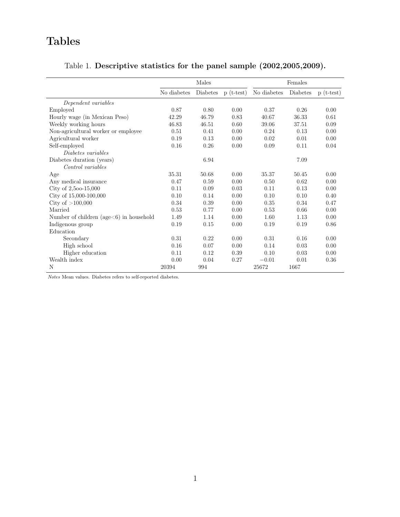# Tables

## <span id="page-44-0"></span>Table 1. Descriptive statistics for the panel sample (2002,2005,2009).

|                                             |             | Males           |             |             | Females  |             |
|---------------------------------------------|-------------|-----------------|-------------|-------------|----------|-------------|
|                                             | No diabetes | <b>Diabetes</b> | $p(t-test)$ | No diabetes | Diabetes | $p(t-test)$ |
| Dependent variables                         |             |                 |             |             |          |             |
| Employed                                    | 0.87        | 0.80            | 0.00        | 0.37        | 0.26     | 0.00        |
| Hourly wage (in Mexican Peso)               | 42.29       | 46.79           | 0.83        | 40.67       | 36.33    | 0.61        |
| Weekly working hours                        | 46.83       | 46.51           | 0.60        | 39.06       | 37.51    | 0.09        |
| Non-agricultural worker or employee         | 0.51        | 0.41            | 0.00        | 0.24        | 0.13     | 0.00        |
| Agricultural worker                         | 0.19        | 0.13            | 0.00        | 0.02        | 0.01     | 0.00        |
| Self-employed                               | 0.16        | 0.26            | 0.00        | 0.09        | 0.11     | 0.04        |
| Diabetes variables                          |             |                 |             |             |          |             |
| Diabetes duration (years)                   |             | 6.94            |             |             | 7.09     |             |
| Control variables                           |             |                 |             |             |          |             |
| Age                                         | 35.31       | 50.68           | 0.00        | 35.37       | 50.45    | 0.00        |
| Any medical insurance                       | 0.47        | 0.59            | 0.00        | 0.50        | 0.62     | 0.00        |
| City of $2,500-15,000$                      | 0.11        | 0.09            | 0.03        | 0.11        | 0.13     | 0.00        |
| City of 15,000-100,000                      | 0.10        | 0.14            | 0.00        | 0.10        | 0.10     | 0.40        |
| City of $>100,000$                          | 0.34        | 0.39            | 0.00        | 0.35        | 0.34     | 0.47        |
| Married                                     | 0.53        | 0.77            | 0.00        | 0.53        | 0.66     | 0.00        |
| Number of children ( $age<6$ ) in household | 1.49        | 1.14            | 0.00        | 1.60        | 1.13     | 0.00        |
| Indigenous group                            | 0.19        | 0.15            | 0.00        | 0.19        | 0.19     | 0.86        |
| Education                                   |             |                 |             |             |          |             |
| Secondary                                   | 0.31        | 0.22            | 0.00        | 0.31        | 0.16     | 0.00        |
| High school                                 | 0.16        | 0.07            | 0.00        | 0.14        | 0.03     | 0.00        |
| Higher education                            | 0.11        | 0.12            | 0.39        | 0.10        | 0.03     | 0.00        |
| Wealth index                                | 0.00        | 0.04            | 0.27        | $-0.01$     | 0.01     | 0.36        |
| N                                           | 20394       | 994             |             | 25672       | 1667     |             |

 $Notes$  Mean values. Diabetes refers to self-reported diabetes.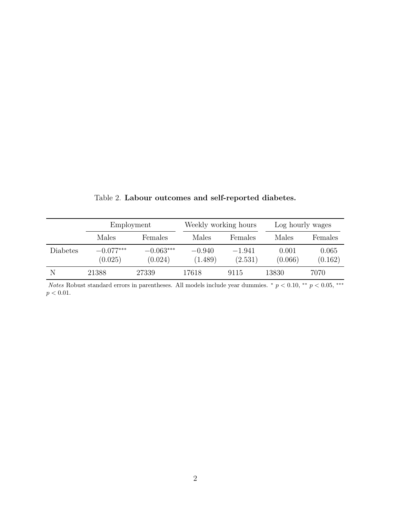<span id="page-45-0"></span>

|          | Employment             |                        | Weekly working hours |                     | Log hourly wages |                  |
|----------|------------------------|------------------------|----------------------|---------------------|------------------|------------------|
|          | Males                  | Females                | Males                | Females             | Males            | Females          |
| Diabetes | $-0.077***$<br>(0.025) | $-0.063***$<br>(0.024) | $-0.940$<br>(1.489)  | $-1.941$<br>(2.531) | 0.001<br>(0.066) | 0.065<br>(0.162) |
| N        | 21388                  | 27339                  | 17618                | 9115                | 13830            | 7070             |

Table 2. Labour outcomes and self-reported diabetes.

Notes Robust standard errors in parentheses. All models include year dummies.  $*$  p < 0.10,  $**$  p < 0.05, \*\*\*  $p < 0.01.$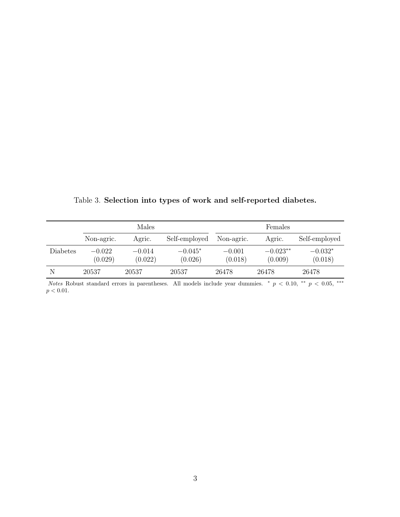|          |                     | Males               |                      |                     | Females               |                      |
|----------|---------------------|---------------------|----------------------|---------------------|-----------------------|----------------------|
|          | Non-agric.          | Agric.              | Self-employed        | Non-agric.          | Agric.                | Self-employed        |
| Diabetes | $-0.022$<br>(0.029) | $-0.014$<br>(0.022) | $-0.045*$<br>(0.026) | $-0.001$<br>(0.018) | $-0.023**$<br>(0.009) | $-0.032*$<br>(0.018) |
|          |                     |                     |                      |                     |                       |                      |
| N        | 20537               | 20537               | 20537                | 26478               | 26478                 | 26478                |

<span id="page-46-0"></span>Table 3. Selection into types of work and self-reported diabetes.

Notes Robust standard errors in parentheses. All models include year dummies.  $\ast$  p < 0.10,  $\ast$  p < 0.05,  $\ast$  $p < 0.01$ .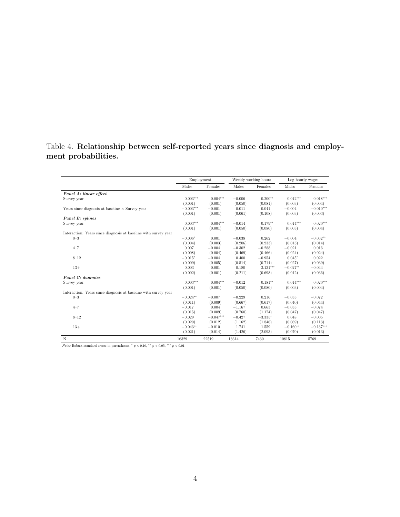#### <span id="page-47-0"></span>Table 4. Relationship between self-reported years since diagnosis and employment probabilities.

|                                                                 |             | Employment  |          | Weekly working hours | Log hourly wages |             |
|-----------------------------------------------------------------|-------------|-------------|----------|----------------------|------------------|-------------|
|                                                                 | Males       | Females     | Males    | Females              | Males            | Females     |
| Panel A: linear effect                                          |             |             |          |                      |                  |             |
| Survey year                                                     | $0.003***$  | $0.004***$  | $-0.006$ | $0.200**$            | $0.012***$       | $0.018***$  |
|                                                                 | (0.001)     | (0.001)     | (0.050)  | (0.081)              | (0.003)          | (0.004)     |
| Years since diagnosis at baseline $\times$ Survey year          | $-0.003***$ | $-0.001$    | 0.011    | 0.041                | $-0.004$         | $-0.010***$ |
|                                                                 | (0.001)     | (0.001)     | (0.061)  | (0.108)              | (0.003)          | (0.003)     |
| Panel B: splines                                                |             |             |          |                      |                  |             |
| Survey year                                                     | $0.003***$  | $0.004***$  | $-0.014$ | $0.179**$            | $0.014***$       | $0.020***$  |
|                                                                 | (0.001)     | (0.001)     | (0.050)  | (0.080)              | (0.003)          | (0.004)     |
| Interaction: Years since diagnosis at baseline with survey year |             |             |          |                      |                  |             |
| $0 - 3$                                                         | $-0.006*$   | 0.001       | $-0.038$ | 0.262                | $-0.004$         | $-0.032**$  |
|                                                                 | (0.004)     | (0.003)     | (0.206)  | (0.233)              | (0.013)          | (0.014)     |
| $4 - 7$                                                         | 0.007       | $-0.004$    | $-0.302$ | $-0.288$             | $-0.021$         | 0.016       |
|                                                                 | (0.008)     | (0.004)     | (0.469)  | (0.466)              | (0.024)          | (0.024)     |
| $8 - 12$                                                        | $-0.015*$   | $-0.004$    | 0.400    | $-0.954$             | $0.045*$         | 0.022       |
|                                                                 | (0.009)     | (0.005)     | (0.514)  | (0.714)              | (0.027)          | (0.039)     |
| $13+$                                                           | 0.003       | 0.001       | 0.180    | $2.131***$           | $-0.027**$       | $-0.044$    |
|                                                                 | (0.002)     | (0.001)     | (0.211)  | (0.698)              | (0.012)          | (0.036)     |
| Panel C: dummies                                                |             |             |          |                      |                  |             |
| Survey year                                                     | $0.003***$  | $0.004***$  | $-0.012$ | $0.181**$            | $0.014***$       | $0.020***$  |
|                                                                 | (0.001)     | (0.001)     | (0.050)  | (0.080)              | (0.003)          | (0.004)     |
| Interaction: Years since diagnosis at baseline with survey year |             |             |          |                      |                  |             |
| $0 - 3$                                                         | $-0.024**$  | $-0.007$    | $-0.229$ | 0.216                | $-0.033$         | $-0.072$    |
|                                                                 | (0.011)     | (0.009)     | (0.667)  | (0.617)              | (0.040)          | (0.044)     |
| $4 - 7$                                                         | $-0.017$    | 0.004       | $-1.167$ | 0.663                | $-0.033$         | $-0.074$    |
|                                                                 | (0.015)     | (0.009)     | (0.760)  | (1.174)              | (0.047)          | (0.047)     |
| $8 - 12$                                                        | $-0.029$    | $-0.047***$ | $-0.427$ | $-3.335*$            | 0.048            | $-0.005$    |
|                                                                 | (0.020)     | (0.012)     | (1.162)  | (1.846)              | (0.069)          | (0.113)     |
| $13+$                                                           | $-0.043**$  | $-0.010$    | 1.741    | 1.559                | $-0.160**$       | $-0.137***$ |
|                                                                 | (0.021)     | (0.014)     | (1.426)  | (2.093)              | (0.070)          | (0.013)     |
| N                                                               | 16329       | 22519       | 13614    | 7430                 | 10815            | 5769        |

 $Notes$  Robust standard errors in parentheses.  $^*$   $p<0.10,$   $^{**}$   $p<0.05,$   $^{***}$   $p<0.01.$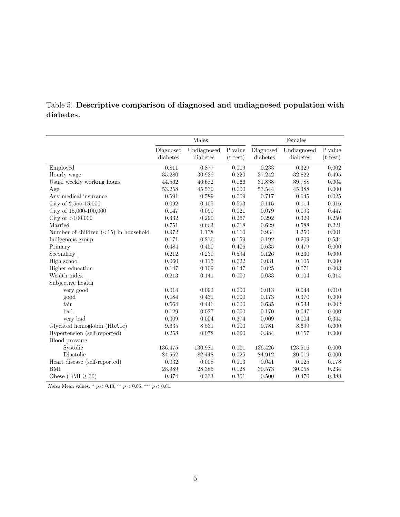|           |  |  | Table 5. Descriptive comparison of diagnosed and undiagnosed population with |  |
|-----------|--|--|------------------------------------------------------------------------------|--|
| diabetes. |  |  |                                                                              |  |

|                                         |           | Males       |            |             | Females     |            |
|-----------------------------------------|-----------|-------------|------------|-------------|-------------|------------|
|                                         | Diagnosed | Undiagnosed | P value    | Diagnosed   | Undiagnosed | P value    |
|                                         | diabetes  | diabetes    | $(t-test)$ | diabetes    | diabetes    | $(t-test)$ |
| Employed                                | 0.811     | 0.877       | 0.019      | 0.233       | 0.329       | 0.002      |
| Hourly wage                             | 35.280    | 30.939      | 0.220      | 37.242      | 32.822      | 0.495      |
| Usual weekly working hours              | 44.562    | 46.682      | 0.166      | 31.838      | 39.788      | 0.004      |
| Age                                     | 53.258    | 45.530      | 0.000      | 53.544      | 45.388      | 0.000      |
| Any medical insurance                   | 0.691     | 0.589       | 0.009      | 0.717       | 0.645       | 0.025      |
| City of 2,500-15,000                    | 0.092     | 0.105       | 0.593      | 0.116       | 0.114       | 0.916      |
| City of 15,000-100,000                  | 0.147     | 0.090       | 0.021      | 0.079       | 0.093       | 0.447      |
| City of $>100,000$                      | 0.332     | 0.290       | 0.267      | 0.292       | 0.329       | 0.250      |
| Married                                 | 0.751     | 0.663       | 0.018      | 0.629       | 0.588       | 0.221      |
| Number of children $(<15)$ in household | 0.972     | 1.138       | 0.110      | $\,0.934\,$ | 1.250       | 0.001      |
| Indigenous group                        | 0.171     | 0.216       | 0.159      | 0.192       | 0.209       | 0.534      |
| Primary                                 | 0.484     | 0.450       | 0.406      | 0.635       | 0.479       | 0.000      |
| Secondary                               | 0.212     | 0.230       | 0.594      | 0.126       | 0.230       | 0.000      |
| High school                             | 0.060     | 0.115       | 0.022      | 0.031       | 0.105       | 0.000      |
| Higher education                        | 0.147     | 0.109       | 0.147      | 0.025       | 0.071       | 0.003      |
| Wealth index                            | $-0.213$  | 0.141       | 0.000      | 0.033       | 0.104       | 0.314      |
| Subjective health                       |           |             |            |             |             |            |
| very good                               | 0.014     | 0.092       | 0.000      | 0.013       | 0.044       | 0.010      |
| good                                    | 0.184     | 0.431       | 0.000      | 0.173       | 0.370       | 0.000      |
| fair                                    | 0.664     | 0.446       | 0.000      | 0.635       | 0.533       | 0.002      |
| bad                                     | 0.129     | 0.027       | 0.000      | 0.170       | 0.047       | 0.000      |
| very bad                                | 0.009     | 0.004       | 0.374      | 0.009       | 0.004       | 0.344      |
| Glycated hemoglobin (HbA1c)             | 9.635     | 8.531       | 0.000      | 9.781       | 8.699       | 0.000      |
| Hypertension (self-reported)            | 0.258     | 0.078       | 0.000      | 0.384       | 0.157       | 0.000      |
| Blood pressure                          |           |             |            |             |             |            |
| Systolic                                | 136.475   | 130.981     | 0.001      | 136.426     | 123.516     | 0.000      |
| Diastolic                               | 84.562    | 82.448      | 0.025      | 84.912      | 80.019      | 0.000      |
| Heart disease (self-reported)           | 0.032     | 0.008       | 0.013      | 0.041       | 0.025       | 0.178      |
| BMI                                     | 28.989    | 28.385      | 0.128      | 30.573      | 30.058      | 0.234      |
| Obese (BMI $\geq 30$ )                  | 0.374     | 0.333       | 0.301      | 0.500       | 0.470       | 0.388      |

Notes Mean values.  $*$   $p < 0.10$ ,  $*$   $p < 0.05$ ,  $**$   $p < 0.01$ .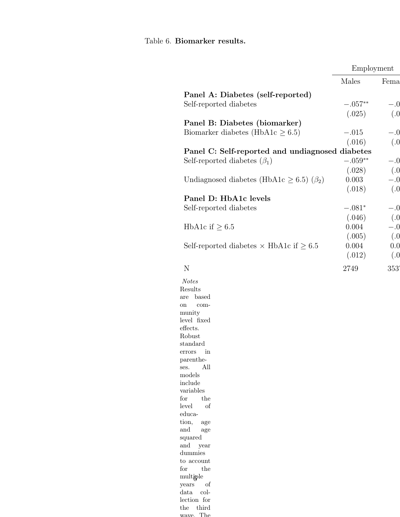## <span id="page-49-0"></span>Table 6. Biomarker results.

years of data collection for the third wave. The

|                                                       | Employment |       |
|-------------------------------------------------------|------------|-------|
|                                                       | Males      | Fema  |
| Panel A: Diabetes (self-reported)                     |            |       |
| Self-reported diabetes                                | $-.057**$  | $-.0$ |
|                                                       | (.025)     | (.0)  |
| Panel B: Diabetes (biomarker)                         |            |       |
| Biomarker diabetes (HbA1c $\geq 6.5$ )                | $-.015$    | $-.0$ |
|                                                       | (.016)     | (.0)  |
| Panel C: Self-reported and undiagnosed diabetes       |            |       |
|                                                       | $-.059**$  |       |
| Self-reported diabetes $(\beta_1)$                    |            | $-.0$ |
|                                                       | (.028)     | (.0)  |
| Undiagnosed diabetes (HbA1c $\geq$ 6.5) ( $\beta_2$ ) | 0.003      | $-.0$ |
|                                                       | (.018)     | (.0)  |
| Panel D: HbA1c levels                                 |            |       |
| Self-reported diabetes                                | $-.081*$   | $-.0$ |
|                                                       | (.046)     | (.0)  |
| HbA1c if $\geq 6.5$                                   | 0.004      | $-.0$ |
|                                                       | (.005)     | (.0)  |
| Self-reported diabetes $\times$ HbA1c if $\geq$ 6.5   | 0.004      | 0.0   |
|                                                       | (.012)     | (.0)  |
|                                                       |            |       |
| N                                                     | 2749       | 353   |
| <b>Notes</b>                                          |            |       |
| Results                                               |            |       |
| based<br>are                                          |            |       |
| com-<br>on                                            |            |       |
| munity                                                |            |       |
| level fixed                                           |            |       |
| effects.<br>Robust                                    |            |       |
| standard                                              |            |       |
| in<br>errors                                          |            |       |
| parenthe-                                             |            |       |
| All<br>ses.                                           |            |       |
| models                                                |            |       |
| include                                               |            |       |
| variables                                             |            |       |
| the<br>for<br>of<br>level                             |            |       |
| educa-                                                |            |       |
| tion,<br>age                                          |            |       |
| and<br>age                                            |            |       |
| squared                                               |            |       |
| and<br>year                                           |            |       |
| dummies                                               |            |       |
| to account                                            |            |       |
| for<br>the                                            |            |       |
| multiple                                              |            |       |